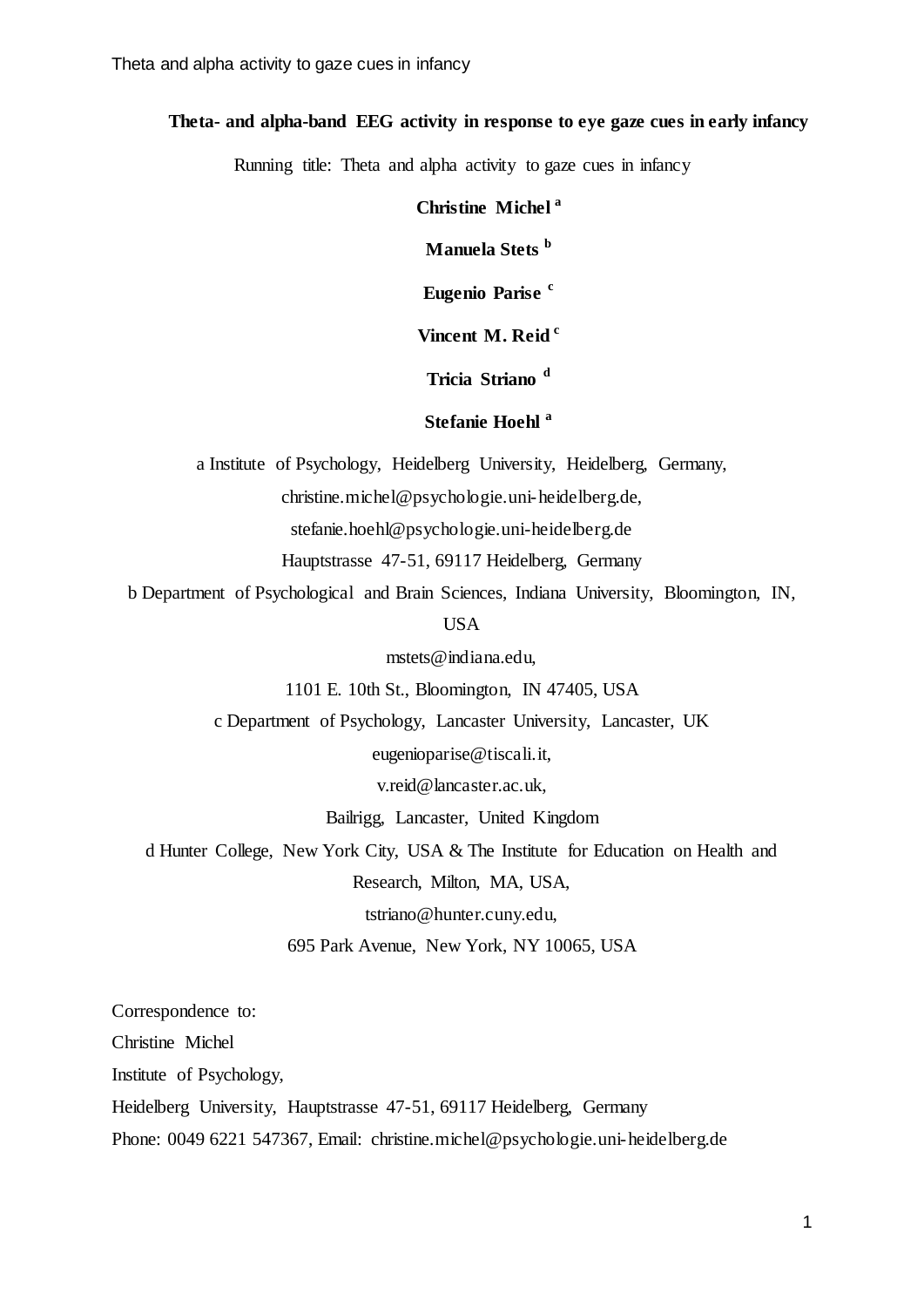#### **Theta- and alpha-band EEG activity in response to eye gaze cues in early infancy**

Running title: Theta and alpha activity to gaze cues in infancy

### **Christine Michel a**

**Manuela Stets <sup>b</sup>**

**Eugenio Parise <sup>c</sup>**

# **Vincent M. Reid <sup>c</sup>**

# **Tricia Striano <sup>d</sup>**

# **Stefanie Hoehl <sup>a</sup>**

a Institute of Psychology, Heidelberg University, Heidelberg, Germany,

christine.michel@psychologie.uni-heidelberg.de,

stefanie.hoehl@psychologie.uni-heidelberg.de

Hauptstrasse 47-51, 69117 Heidelberg, Germany

b Department of Psychological and Brain Sciences, Indiana University, Bloomington, IN,

USA

mstets@indiana.edu,

1101 E. 10th St., Bloomington, IN 47405, USA

c Department of Psychology, Lancaster University, Lancaster, UK

eugenioparise@tiscali.it,

v.reid@lancaster.ac.uk,

Bailrigg, Lancaster, United Kingdom

d Hunter College, New York City, USA & The Institute for Education on Health and

Research, Milton, MA, USA,

tstriano@hunter.cuny.edu,

695 Park Avenue, New York, NY 10065, USA

Correspondence to:

Christine Michel

Institute of Psychology,

Heidelberg University, Hauptstrasse 47-51, 69117 Heidelberg, Germany

Phone: 0049 6221 547367, Email: [christine.michel@psychologie.uni-heidelberg.de](mailto:christine.michel@psychologie.uni-heidelberg.de)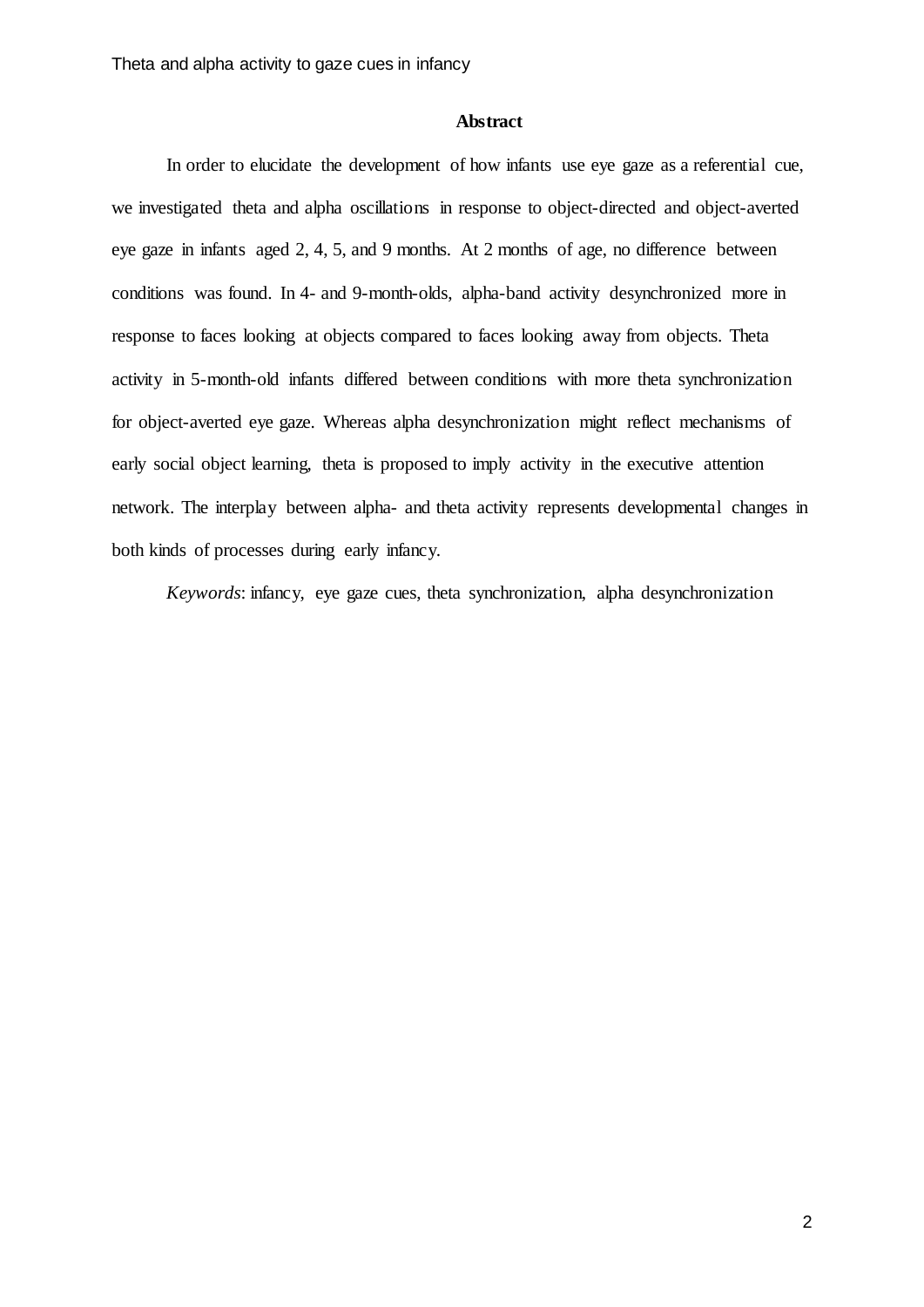#### **Abstract**

In order to elucidate the development of how infants use eye gaze as a referential cue, we investigated theta and alpha oscillations in response to object-directed and object-averted eye gaze in infants aged 2, 4, 5, and 9 months. At 2 months of age, no difference between conditions was found. In 4- and 9-month-olds, alpha-band activity desynchronized more in response to faces looking at objects compared to faces looking away from objects. Theta activity in 5-month-old infants differed between conditions with more theta synchronization for object-averted eye gaze. Whereas alpha desynchronization might reflect mechanisms of early social object learning, theta is proposed to imply activity in the executive attention network. The interplay between alpha- and theta activity represents developmental changes in both kinds of processes during early infancy.

*Keywords*: infancy, eye gaze cues, theta synchronization, alpha desynchronization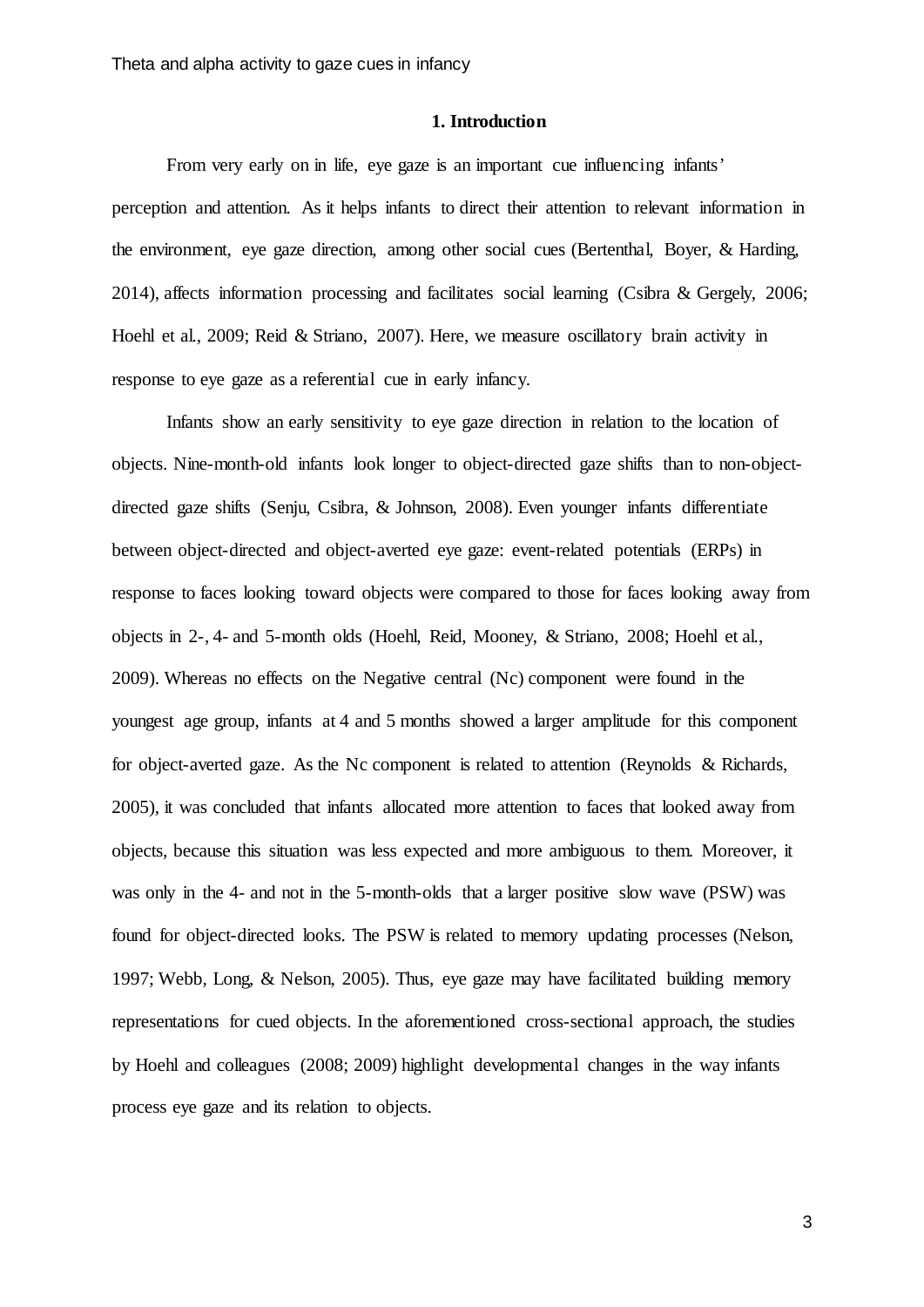#### **1. Introduction**

From very early on in life, eye gaze is an important cue influencing infants' perception and attention. As it helps infants to direct their attention to relevant information in the environment, eye gaze direction, among other social cues [\(Bertenthal, Boyer, & Harding,](#page-19-0)  [2014\)](#page-19-0), affects information processing and facilitates social learning [\(Csibra & Gergely, 2006;](#page-19-1) [Hoehl et al., 2009;](#page-19-2) [Reid & Striano, 2007\)](#page-20-0). Here, we measure oscillatory brain activity in response to eye gaze as a referential cue in early infancy.

Infants show an early sensitivity to eye gaze direction in relation to the location of objects. Nine-month-old infants look longer to object-directed gaze shifts than to non-objectdirected gaze shifts [\(Senju, Csibra, & Johnson, 2008\)](#page-20-1). Even younger infants differentiate between object-directed and object-averted eye gaze: event-related potentials (ERPs) in response to faces looking toward objects were compared to those for faces looking away from objects in 2-, 4- and 5-month olds [\(Hoehl, Reid, Mooney, & Striano, 2008;](#page-19-3) [Hoehl et al.,](#page-19-2)  [2009\)](#page-19-2). Whereas no effects on the Negative central (Nc) component were found in the youngest age group, infants at 4 and 5 months showed a larger amplitude for this component for object-averted gaze. As the Nc component is related to attention [\(Reynolds & Richards,](#page-20-2)  [2005\)](#page-20-2), it was concluded that infants allocated more attention to faces that looked away from objects, because this situation was less expected and more ambiguous to them. Moreover, it was only in the 4- and not in the 5-month-olds that a larger positive slow wave (PSW) was found for object-directed looks. The PSW is related to memory updating processes [\(Nelson,](#page-20-3)  [1997;](#page-20-3) [Webb, Long, & Nelson, 2005\)](#page-21-0). Thus, eye gaze may have facilitated building memory representations for cued objects. In the aforementioned cross-sectional approach, the studies by Hoehl and colleagues [\(2008;](#page-19-3) [2009\)](#page-19-2) highlight developmental changes in the way infants process eye gaze and its relation to objects.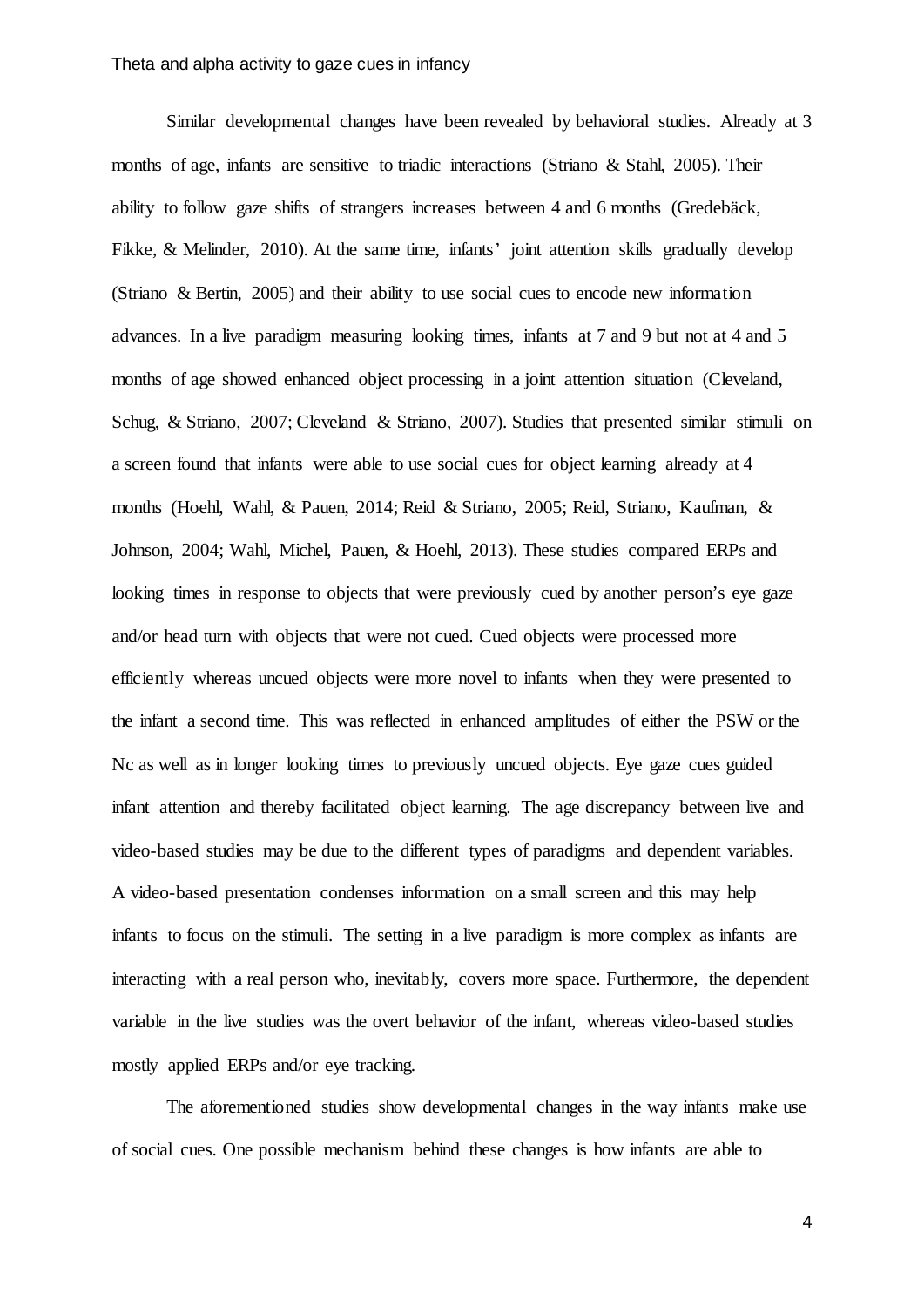Similar developmental changes have been revealed by behavioral studies. Already at 3 months of age, infants are sensitive to triadic interactions [\(Striano & Stahl, 2005\)](#page-21-1). Their ability to follow gaze shifts of strangers increases between 4 and 6 months [\(Gredebäck,](#page-19-4)  [Fikke, & Melinder, 2010\)](#page-19-4). At the same time, infants' joint attention skills gradually develop [\(Striano & Bertin, 2005\)](#page-21-2) and their ability to use social cues to encode new information advances. In a live paradigm measuring looking times, infants at 7 and 9 but not at 4 and 5 months of age showed enhanced object processing in a joint attention situation (Cleveland, [Schug, & Striano, 2007;](#page-19-5) [Cleveland & Striano, 2007\)](#page-19-6). Studies that presented similar stimuli on a screen found that infants were able to use social cues for object learning already at 4 months [\(Hoehl, Wahl, & Pauen, 2014;](#page-19-7) [Reid & Striano, 2005;](#page-20-4) [Reid, Striano, Kaufman, &](#page-20-5)  [Johnson, 2004;](#page-20-5) [Wahl, Michel, Pauen, & Hoehl, 2013\)](#page-21-3). These studies compared ERPs and looking times in response to objects that were previously cued by another person's eye gaze and/or head turn with objects that were not cued. Cued objects were processed more efficiently whereas uncued objects were more novel to infants when they were presented to the infant a second time. This was reflected in enhanced amplitudes of either the PSW or the Nc as well as in longer looking times to previously uncued objects. Eye gaze cues guided infant attention and thereby facilitated object learning. The age discrepancy between live and video-based studies may be due to the different types of paradigms and dependent variables. A video-based presentation condenses information on a small screen and this may help infants to focus on the stimuli. The setting in a live paradigm is more complex as infants are interacting with a real person who, inevitably, covers more space. Furthermore, the dependent variable in the live studies was the overt behavior of the infant, whereas video-based studies mostly applied ERPs and/or eye tracking.

The aforementioned studies show developmental changes in the way infants make use of social cues. One possible mechanism behind these changes is how infants are able to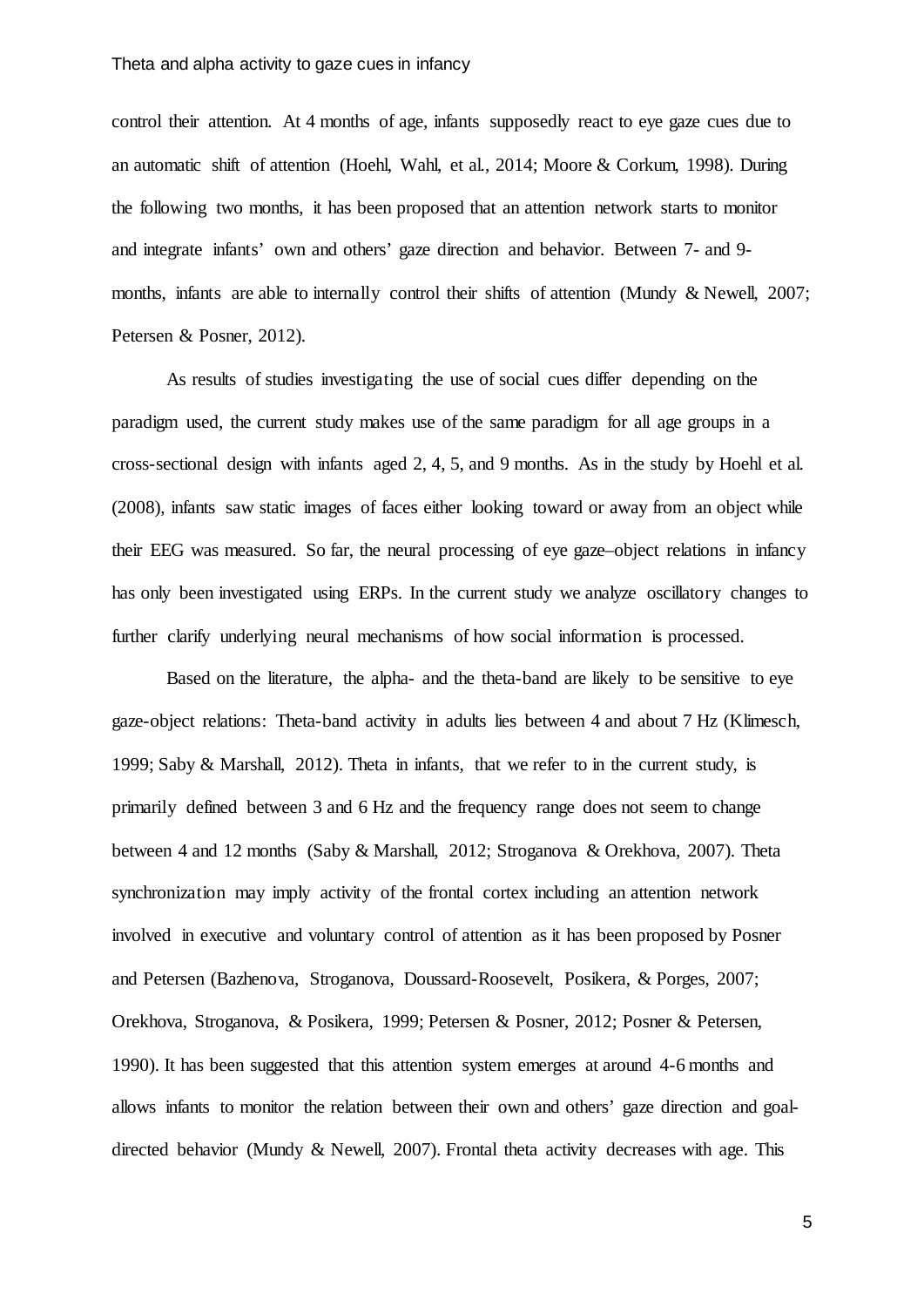control their attention. At 4 months of age, infants supposedly react to eye gaze cues due to an automatic shift of attention [\(Hoehl, Wahl, et al., 2014;](#page-19-7) [Moore & Corkum, 1998\)](#page-20-6). During the following two months, it has been proposed that an attention network starts to monitor and integrate infants' own and others' gaze direction and behavior. Between 7- and 9 months, infants are able to internally control their shifts of attention [\(Mundy & Newell, 2007;](#page-20-7) [Petersen & Posner, 2012\)](#page-20-8).

As results of studies investigating the use of social cues differ depending on the paradigm used, the current study makes use of the same paradigm for all age groups in a cross-sectional design with infants aged 2, 4, 5, and 9 months. As in the study by [Hoehl et al.](#page-19-3)  (2008), infants saw static images of faces either looking toward or away from an object while their EEG was measured. So far, the neural processing of eye gaze–object relations in infancy has only been investigated using ERPs. In the current study we analyze oscillatory changes to further clarify underlying neural mechanisms of how social information is processed.

Based on the literature, the alpha- and the theta-band are likely to be sensitive to eye gaze-object relations: Theta-band activity in adults lies between 4 and about 7 Hz [\(Klimesch,](#page-20-9)  [1999;](#page-20-9) [Saby & Marshall, 2012\)](#page-20-10). Theta in infants, that we refer to in the current study, is primarily defined between 3 and 6 Hz and the frequency range does not seem to change between 4 and 12 months [\(Saby & Marshall, 2012;](#page-20-10) [Stroganova & Orekhova, 2007\)](#page-21-4). Theta synchronization may imply activity of the frontal cortex including an attention network involved in executive and voluntary control of attention as it has been proposed by Posner and Petersen [\(Bazhenova, Stroganova, Doussard-Roosevelt, Posikera, & Porges, 2007;](#page-19-8) [Orekhova, Stroganova, & Posikera, 1999;](#page-20-11) [Petersen & Posner, 2012;](#page-20-8) [Posner & Petersen,](#page-20-12)  [1990\)](#page-20-12). It has been suggested that this attention system emerges at around 4-6 months and allows infants to monitor the relation between their own and others' gaze direction and goaldirected behavior [\(Mundy & Newell, 2007\)](#page-20-7). Frontal theta activity decreases with age. This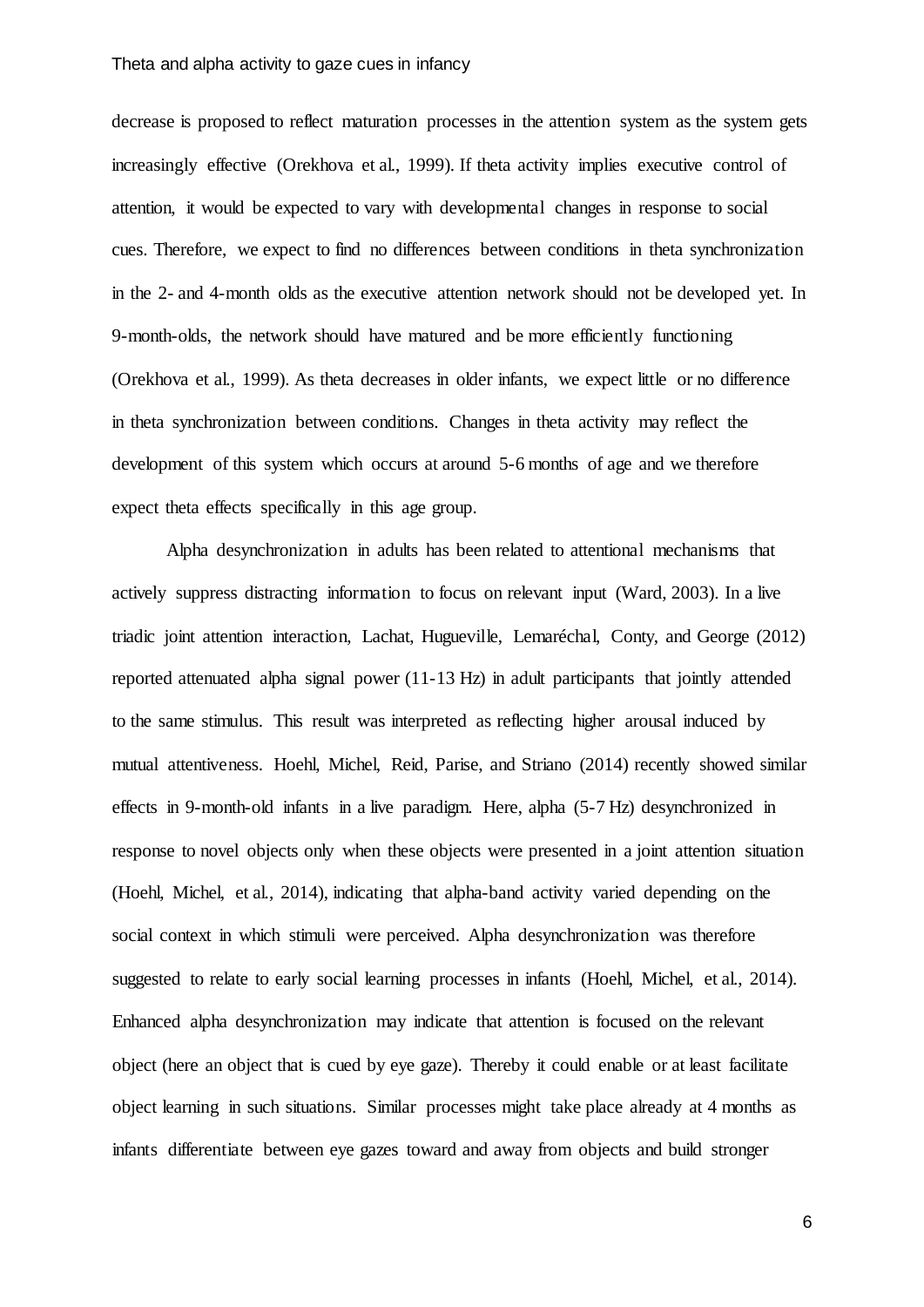#### Theta and alpha activity to gaze cues in infancy

decrease is proposed to reflect maturation processes in the attention system as the system gets increasingly effective [\(Orekhova et al., 1999\)](#page-20-11). If theta activity implies executive control of attention, it would be expected to vary with developmental changes in response to social cues. Therefore, we expect to find no differences between conditions in theta synchronization in the 2- and 4-month olds as the executive attention network should not be developed yet. In 9-month-olds, the network should have matured and be more efficiently functioning [\(Orekhova et al., 1999\)](#page-20-11). As theta decreases in older infants, we expect little or no difference in theta synchronization between conditions. Changes in theta activity may reflect the development of this system which occurs at around 5-6 months of age and we therefore expect theta effects specifically in this age group.

Alpha desynchronization in adults has been related to attentional mechanisms that actively suppress distracting information to focus on relevant input [\(Ward, 2003\)](#page-21-5). In a live triadic joint attention interaction, [Lachat, Hugueville, Lemaréchal, Conty, and George \(2012\)](#page-20-13) reported attenuated alpha signal power (11-13 Hz) in adult participants that jointly attended to the same stimulus. This result was interpreted as reflecting higher arousal induced by mutual attentiveness. [Hoehl, Michel, Reid, Parise, and Striano \(2014\)](#page-19-9) recently showed similar effects in 9-month-old infants in a live paradigm. Here, alpha (5-7 Hz) desynchronized in response to novel objects only when these objects were presented in a joint attention situation [\(Hoehl, Michel, et al., 2014\)](#page-19-9), indicating that alpha-band activity varied depending on the social context in which stimuli were perceived. Alpha desynchronization was therefore suggested to relate to early social learning processes in infants [\(Hoehl, Michel, et al., 2014\)](#page-19-9). Enhanced alpha desynchronization may indicate that attention is focused on the relevant object (here an object that is cued by eye gaze). Thereby it could enable or at least facilitate object learning in such situations. Similar processes might take place already at 4 months as infants differentiate between eye gazes toward and away from objects and build stronger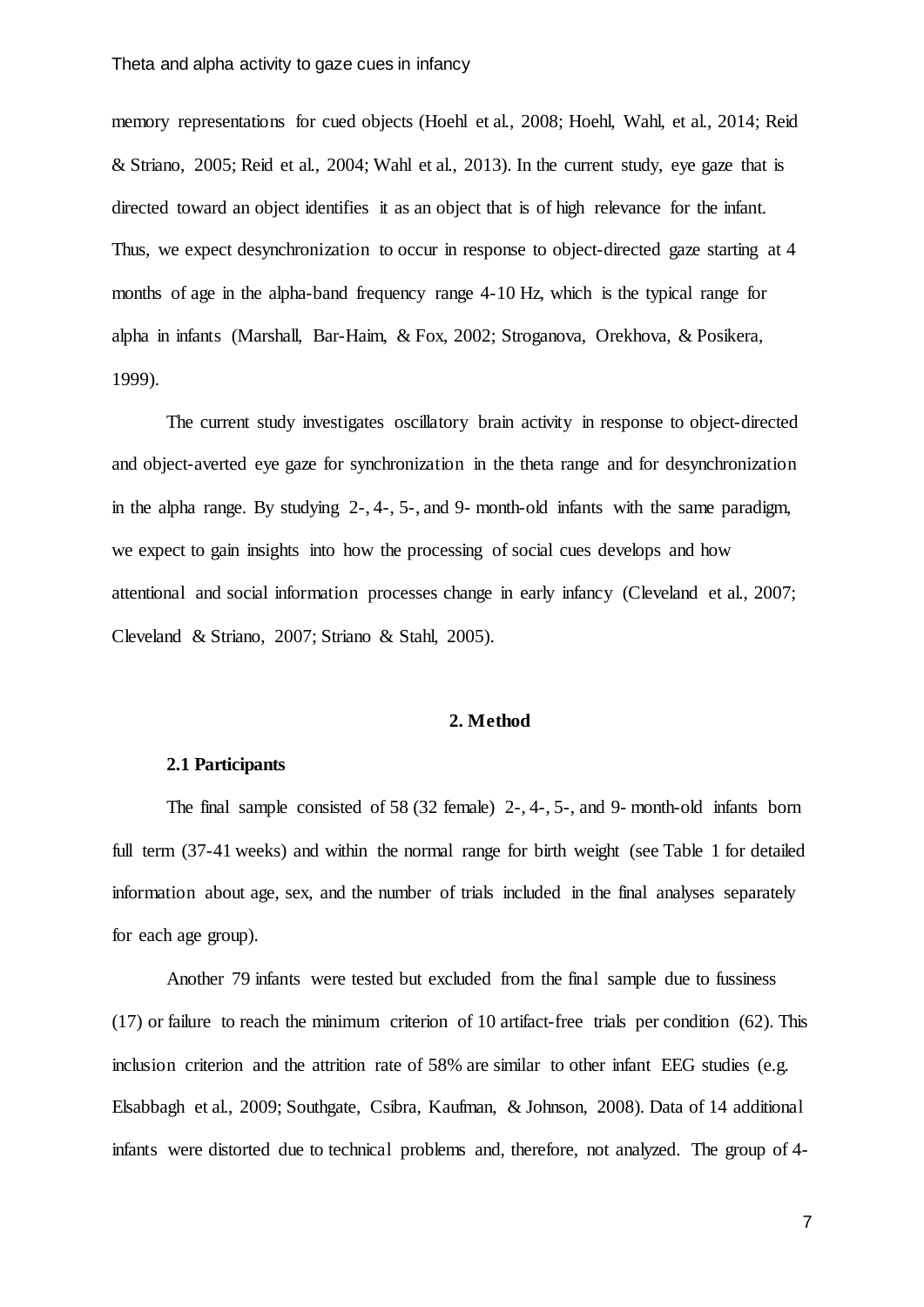memory representations for cued objects [\(Hoehl et al., 2008;](#page-19-3) [Hoehl, Wahl, et al., 2014;](#page-19-7) [Reid](#page-20-4)  [& Striano, 2005;](#page-20-4) [Reid et al., 2004;](#page-20-5) [Wahl et al., 2013\)](#page-21-3). In the current study, eye gaze that is directed toward an object identifies it as an object that is of high relevance for the infant. Thus, we expect desynchronization to occur in response to object-directed gaze starting at 4 months of age in the alpha-band frequency range 4-10 Hz, which is the typical range for alpha in infants [\(Marshall, Bar-Haim, & Fox, 2002;](#page-20-14) [Stroganova, Orekhova, & Posikera,](#page-21-6)  [1999\)](#page-21-6).

The current study investigates oscillatory brain activity in response to object-directed and object-averted eye gaze for synchronization in the theta range and for desynchronization in the alpha range. By studying 2-, 4-, 5-, and 9- month-old infants with the same paradigm, we expect to gain insights into how the processing of social cues develops and how attentional and social information processes change in early infancy [\(Cleveland et al., 2007;](#page-19-5) [Cleveland & Striano, 2007;](#page-19-6) [Striano & Stahl, 2005\)](#page-21-1).

# **2. Method**

## **2.1 Participants**

The final sample consisted of 58 (32 female) 2-, 4-, 5-, and 9- month-old infants born full term (37-41 weeks) and within the normal range for birth weight (see Table 1 for detailed information about age, sex, and the number of trials included in the final analyses separately for each age group).

Another 79 infants were tested but excluded from the final sample due to fussiness (17) or failure to reach the minimum criterion of 10 artifact-free trials per condition (62). This inclusion criterion and the attrition rate of 58% are similar to other infant EEG studies (e.g. [Elsabbagh et al., 2009;](#page-19-10) [Southgate, Csibra, Kaufman, & Johnson, 2008\)](#page-21-7). Data of 14 additional infants were distorted due to technical problems and, therefore, not analyzed. The group of 4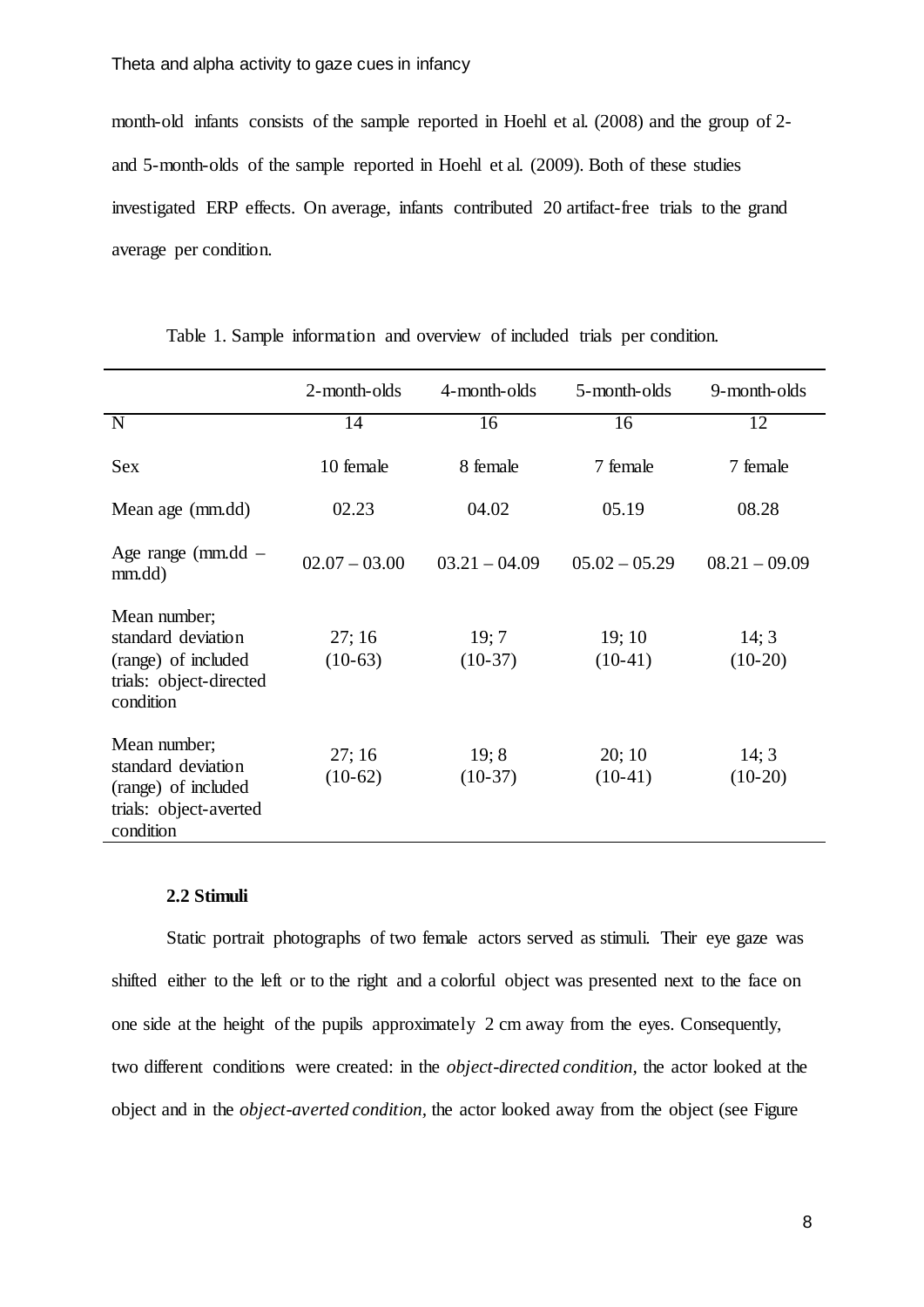month-old infants consists of the sample reported in Hoehl et al. [\(2008\)](#page-19-3) and the group of 2 and 5-month-olds of the sample reported in [Hoehl et al. \(2009\).](#page-19-2) Both of these studies investigated ERP effects. On average, infants contributed 20 artifact-free trials to the grand average per condition.

|                                                                                                   | 2-month-olds       | 4-month-olds       | 5-month-olds       | 9-month-olds       |
|---------------------------------------------------------------------------------------------------|--------------------|--------------------|--------------------|--------------------|
| N                                                                                                 | 14                 | 16                 | 16                 | 12                 |
| <b>Sex</b>                                                                                        | 10 female          | 8 female           | 7 female           | 7 female           |
| Mean age (mm.dd)                                                                                  | 02.23              | 04.02              | 05.19              | 08.28              |
| Age range ( $mm\ddot{d}$ –<br>mm.dd)                                                              | $02.07 - 03.00$    | $03.21 - 04.09$    | $05.02 - 05.29$    | $08.21 - 09.09$    |
| Mean number;<br>standard deviation<br>(range) of included<br>trials: object-directed<br>condition | 27;16<br>$(10-63)$ | 19; 7<br>$(10-37)$ | 19;10<br>$(10-41)$ | 14; 3<br>$(10-20)$ |
| Mean number;<br>standard deviation<br>(range) of included<br>trials: object-averted<br>condition  | 27;16<br>$(10-62)$ | 19; 8<br>$(10-37)$ | 20;10<br>$(10-41)$ | 14; 3<br>$(10-20)$ |

Table 1. Sample information and overview of included trials per condition.

#### **2.2 Stimuli**

Static portrait photographs of two female actors served as stimuli. Their eye gaze was shifted either to the left or to the right and a colorful object was presented next to the face on one side at the height of the pupils approximately 2 cm away from the eyes. Consequently, two different conditions were created: in the *object-directed condition,* the actor looked at the object and in the *object-averted condition,* the actor looked away from the object (see Figure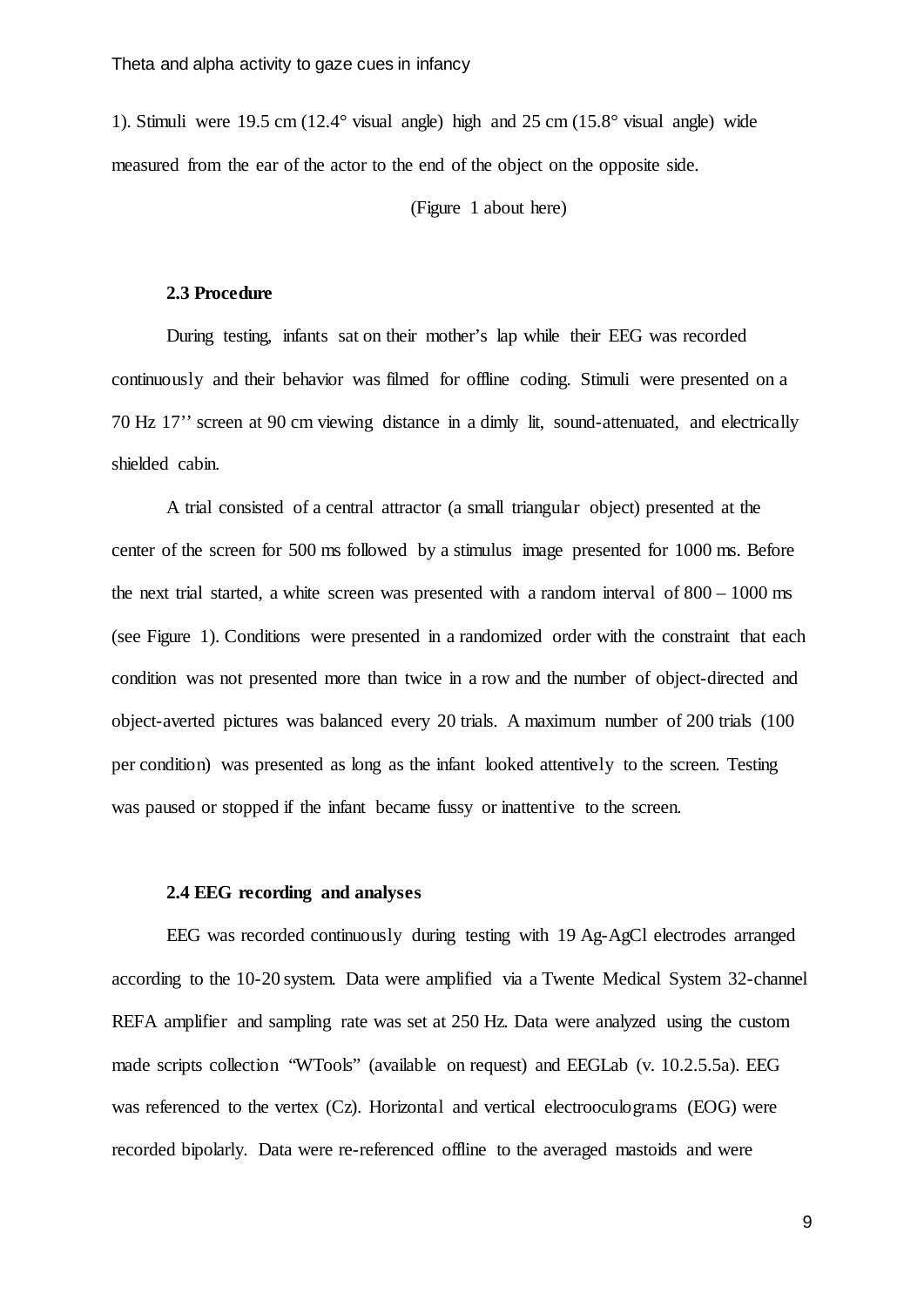1). Stimuli were 19.5 cm (12.4° visual angle) high and 25 cm (15.8° visual angle) wide measured from the ear of the actor to the end of the object on the opposite side.

(Figure 1 about here)

#### **2.3 Procedure**

During testing, infants sat on their mother's lap while their EEG was recorded continuously and their behavior was filmed for offline coding. Stimuli were presented on a 70 Hz 17'' screen at 90 cm viewing distance in a dimly lit, sound-attenuated, and electrically shielded cabin.

A trial consisted of a central attractor (a small triangular object) presented at the center of the screen for 500 ms followed by a stimulus image presented for 1000 ms. Before the next trial started, a white screen was presented with a random interval of  $800 - 1000$  ms (see Figure 1). Conditions were presented in a randomized order with the constraint that each condition was not presented more than twice in a row and the number of object-directed and object-averted pictures was balanced every 20 trials. A maximum number of 200 trials (100 per condition) was presented as long as the infant looked attentively to the screen. Testing was paused or stopped if the infant became fussy or inattentive to the screen.

#### **2.4 EEG recording and analyses**

EEG was recorded continuously during testing with 19 Ag-AgCl electrodes arranged according to the 10-20 system. Data were amplified via a Twente Medical System 32-channel REFA amplifier and sampling rate was set at 250 Hz. Data were analyzed using the custom made scripts collection "WTools" (available on request) and EEGLab (v. 10.2.5.5a). EEG was referenced to the vertex (Cz). Horizontal and vertical electrooculograms (EOG) were recorded bipolarly. Data were re-referenced offline to the averaged mastoids and were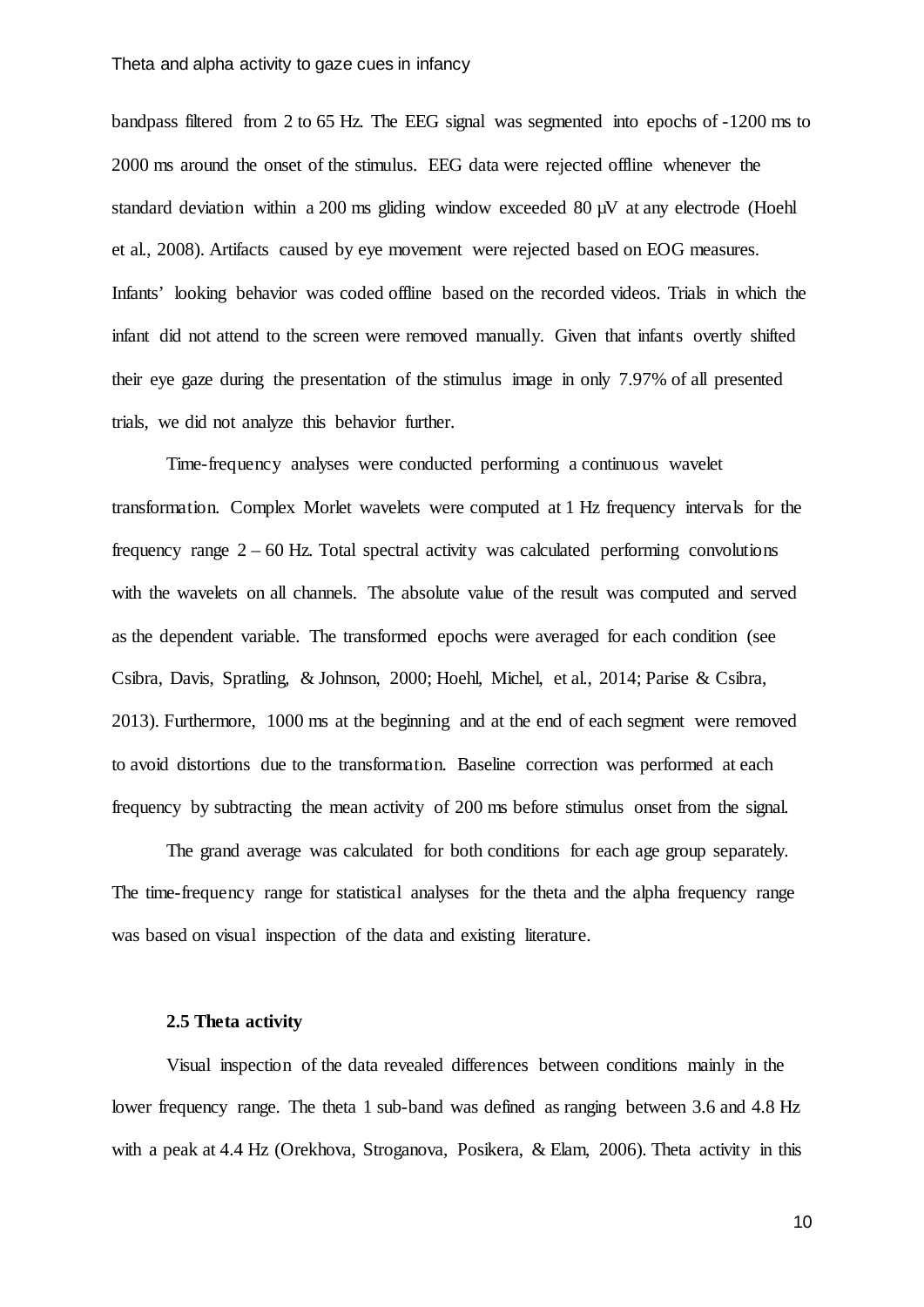bandpass filtered from 2 to 65 Hz. The EEG signal was segmented into epochs of -1200 ms to 2000 ms around the onset of the stimulus. EEG data were rejected offline whenever the standard deviation within a 200 ms gliding window exceeded 80 µV at any electrode [\(Hoehl](#page-19-3)  [et al., 2008\)](#page-19-3). Artifacts caused by eye movement were rejected based on EOG measures. Infants' looking behavior was coded offline based on the recorded videos. Trials in which the infant did not attend to the screen were removed manually. Given that infants overtly shifted their eye gaze during the presentation of the stimulus image in only 7.97% of all presented trials, we did not analyze this behavior further.

Time-frequency analyses were conducted performing a continuous wavelet transformation. Complex Morlet wavelets were computed at 1 Hz frequency intervals for the frequency range  $2 - 60$  Hz. Total spectral activity was calculated performing convolutions with the wavelets on all channels. The absolute value of the result was computed and served as the dependent variable. The transformed epochs were averaged for each condition (see [Csibra, Davis, Spratling, & Johnson, 2000;](#page-19-11) [Hoehl, Michel, et al., 2014;](#page-19-9) [Parise & Csibra,](#page-20-15)  [2013\)](#page-20-15). Furthermore, 1000 ms at the beginning and at the end of each segment were removed to avoid distortions due to the transformation. Baseline correction was performed at each frequency by subtracting the mean activity of 200 ms before stimulus onset from the signal.

The grand average was calculated for both conditions for each age group separately. The time-frequency range for statistical analyses for the theta and the alpha frequency range was based on visual inspection of the data and existing literature.

#### **2.5 Theta activity**

Visual inspection of the data revealed differences between conditions mainly in the lower frequency range. The theta 1 sub-band was defined as ranging between 3.6 and 4.8 Hz with a peak at 4.4 Hz [\(Orekhova, Stroganova, Posikera, & Elam, 2006\)](#page-20-16). Theta activity in this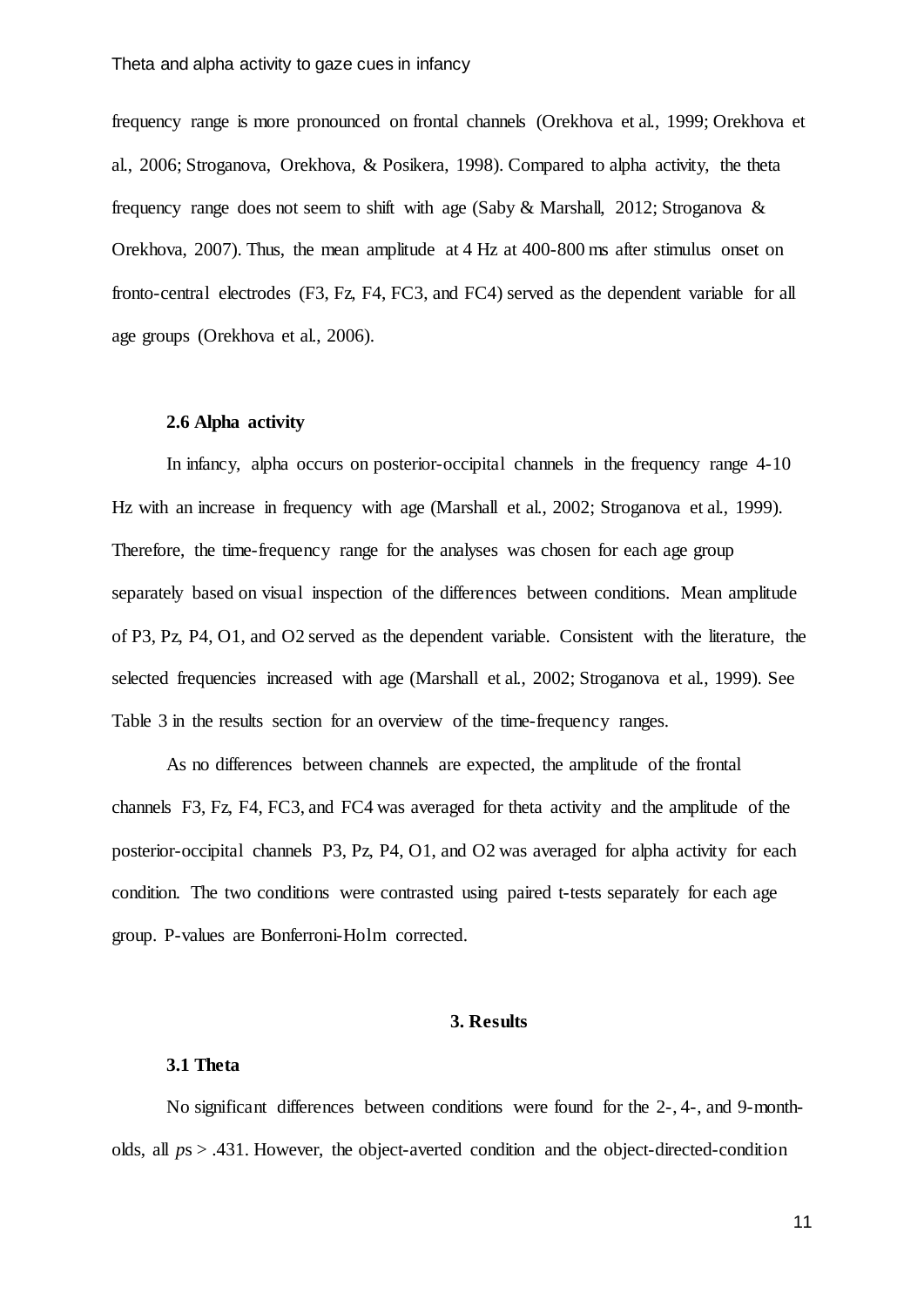frequency range is more pronounced on frontal channels [\(Orekhova et al., 1999;](#page-20-11) [Orekhova et](#page-20-16)  [al., 2006;](#page-20-16) [Stroganova, Orekhova, & Posikera, 1998\)](#page-21-8). Compared to alpha activity, the theta frequency range does not seem to shift with age [\(Saby & Marshall, 2012;](#page-20-10) [Stroganova &](#page-21-4)  [Orekhova, 2007\)](#page-21-4). Thus, the mean amplitude at 4 Hz at 400-800 ms after stimulus onset on fronto-central electrodes (F3, Fz, F4, FC3, and FC4) served as the dependent variable for all age groups [\(Orekhova et al., 2006\)](#page-20-16).

## **2.6 Alpha activity**

In infancy, alpha occurs on posterior-occipital channels in the frequency range 4-10 Hz with an increase in frequency with age [\(Marshall et al., 2002;](#page-20-14) [Stroganova et al., 1999\)](#page-21-6). Therefore, the time-frequency range for the analyses was chosen for each age group separately based on visual inspection of the differences between conditions. Mean amplitude of P3, Pz, P4, O1, and O2 served as the dependent variable. Consistent with the literature, the selected frequencies increased with age [\(Marshall et al., 2002;](#page-20-14) [Stroganova et al., 1999\)](#page-21-6). See Table 3 in the results section for an overview of the time-frequency ranges.

As no differences between channels are expected, the amplitude of the frontal channels F3, Fz, F4, FC3, and FC4 was averaged for theta activity and the amplitude of the posterior-occipital channels P3, Pz, P4, O1, and O2 was averaged for alpha activity for each condition. The two conditions were contrasted using paired t-tests separately for each age group. P-values are Bonferroni-Holm corrected.

## **3. Results**

# **3.1 Theta**

No significant differences between conditions were found for the 2-, 4-, and 9-montholds, all *p*s > .431. However, the object-averted condition and the object-directed-condition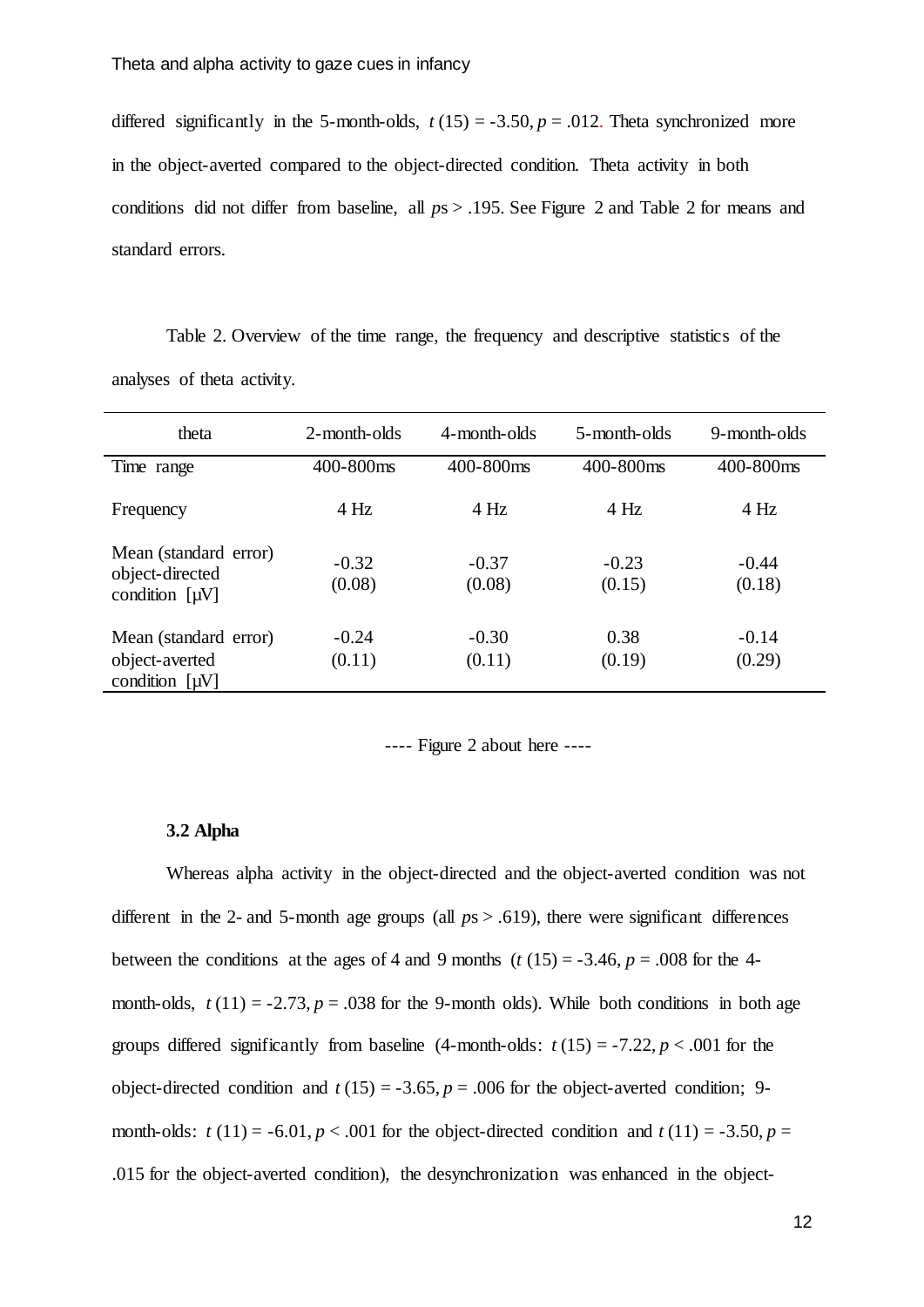differed significantly in the 5-month-olds,  $t(15) = -3.50$ ,  $p = .012$ . Theta synchronized more in the object-averted compared to the object-directed condition. Theta activity in both conditions did not differ from baseline, all *p*s > .195. See Figure 2 and Table 2 for means and standard errors.

Table 2. Overview of the time range, the frequency and descriptive statistics of the analyses of theta activity.

| theta                                                           | 2-month-olds      | 4-month-olds      | 5-month-olds      | 9-month-olds      |
|-----------------------------------------------------------------|-------------------|-------------------|-------------------|-------------------|
| Time range                                                      | 400-800ms         | 400-800ms         | 400-800ms         | 400-800ms         |
| Frequency                                                       | 4 Hz              | 4 Hz              | $4$ Hz            | 4 Hz              |
| Mean (standard error)<br>object-directed<br>condition $[\mu V]$ | $-0.32$<br>(0.08) | $-0.37$<br>(0.08) | $-0.23$<br>(0.15) | $-0.44$<br>(0.18) |
| Mean (standard error)<br>object-averted<br>condition $[\mu V]$  | $-0.24$<br>(0.11) | $-0.30$<br>(0.11) | 0.38<br>(0.19)    | $-0.14$<br>(0.29) |

---- Figure 2 about here ----

#### **3.2 Alpha**

Whereas alpha activity in the object-directed and the object-averted condition was not different in the 2- and 5-month age groups (all *p*s > .619), there were significant differences between the conditions at the ages of 4 and 9 months  $(t (15) = -3.46, p = .008$  for the 4month-olds,  $t(11) = -2.73$ ,  $p = .038$  for the 9-month olds). While both conditions in both age groups differed significantly from baseline  $(4$ -month-olds:  $t(15) = -7.22$ ,  $p < .001$  for the object-directed condition and  $t(15) = -3.65$ ,  $p = .006$  for the object-averted condition; 9month-olds:  $t(11) = -6.01$ ,  $p < .001$  for the object-directed condition and  $t(11) = -3.50$ ,  $p =$ .015 for the object-averted condition), the desynchronization was enhanced in the object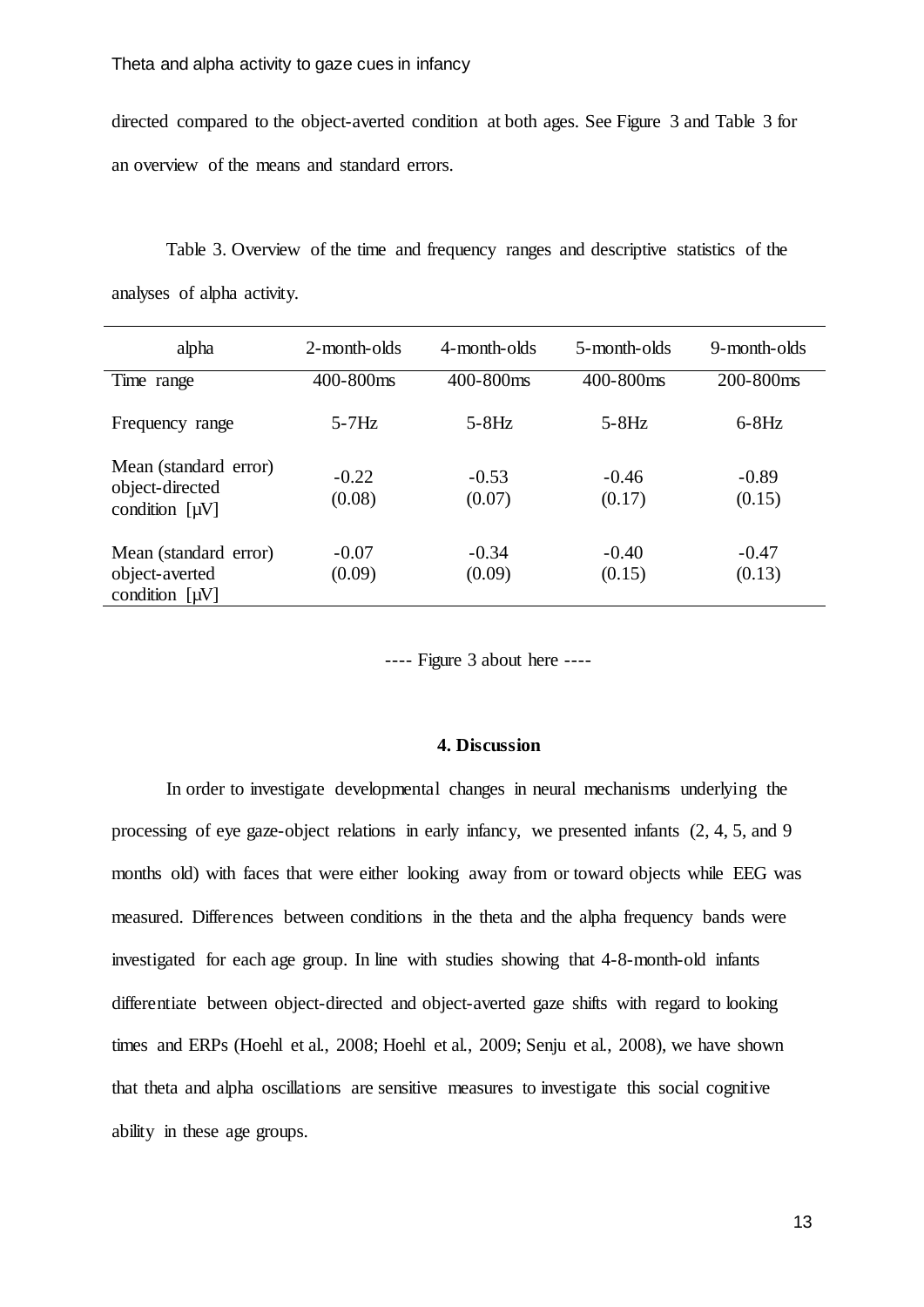directed compared to the object-averted condition at both ages. See Figure 3 and Table 3 for an overview of the means and standard errors.

Table 3. Overview of the time and frequency ranges and descriptive statistics of the analyses of alpha activity.

| alpha                                                           | 2-month-olds      | 4-month-olds      | 5-month-olds      | 9-month-olds      |
|-----------------------------------------------------------------|-------------------|-------------------|-------------------|-------------------|
| Time range                                                      | 400-800ms         | 400-800ms         | 400-800ms         | 200-800ms         |
| Frequency range                                                 | $5-7Hz$           | $5-8Hz$           | $5-8Hz$           | $6-8Hz$           |
| Mean (standard error)<br>object-directed<br>condition $[\mu V]$ | $-0.22$<br>(0.08) | $-0.53$<br>(0.07) | $-0.46$<br>(0.17) | $-0.89$<br>(0.15) |
| Mean (standard error)<br>object-averted<br>condition $[\mu V]$  | $-0.07$<br>(0.09) | $-0.34$<br>(0.09) | $-0.40$<br>(0.15) | $-0.47$<br>(0.13) |

---- Figure 3 about here ----

# **4. Discussion**

In order to investigate developmental changes in neural mechanisms underlying the processing of eye gaze-object relations in early infancy, we presented infants (2, 4, 5, and 9 months old) with faces that were either looking away from or toward objects while EEG was measured. Differences between conditions in the theta and the alpha frequency bands were investigated for each age group. In line with studies showing that 4-8-month-old infants differentiate between object-directed and object-averted gaze shifts with regard to looking times and ERPs [\(Hoehl et al., 2008;](#page-19-3) [Hoehl et al., 2009;](#page-19-2) [Senju et al., 2008\)](#page-20-1), we have shown that theta and alpha oscillations are sensitive measures to investigate this social cognitive ability in these age groups.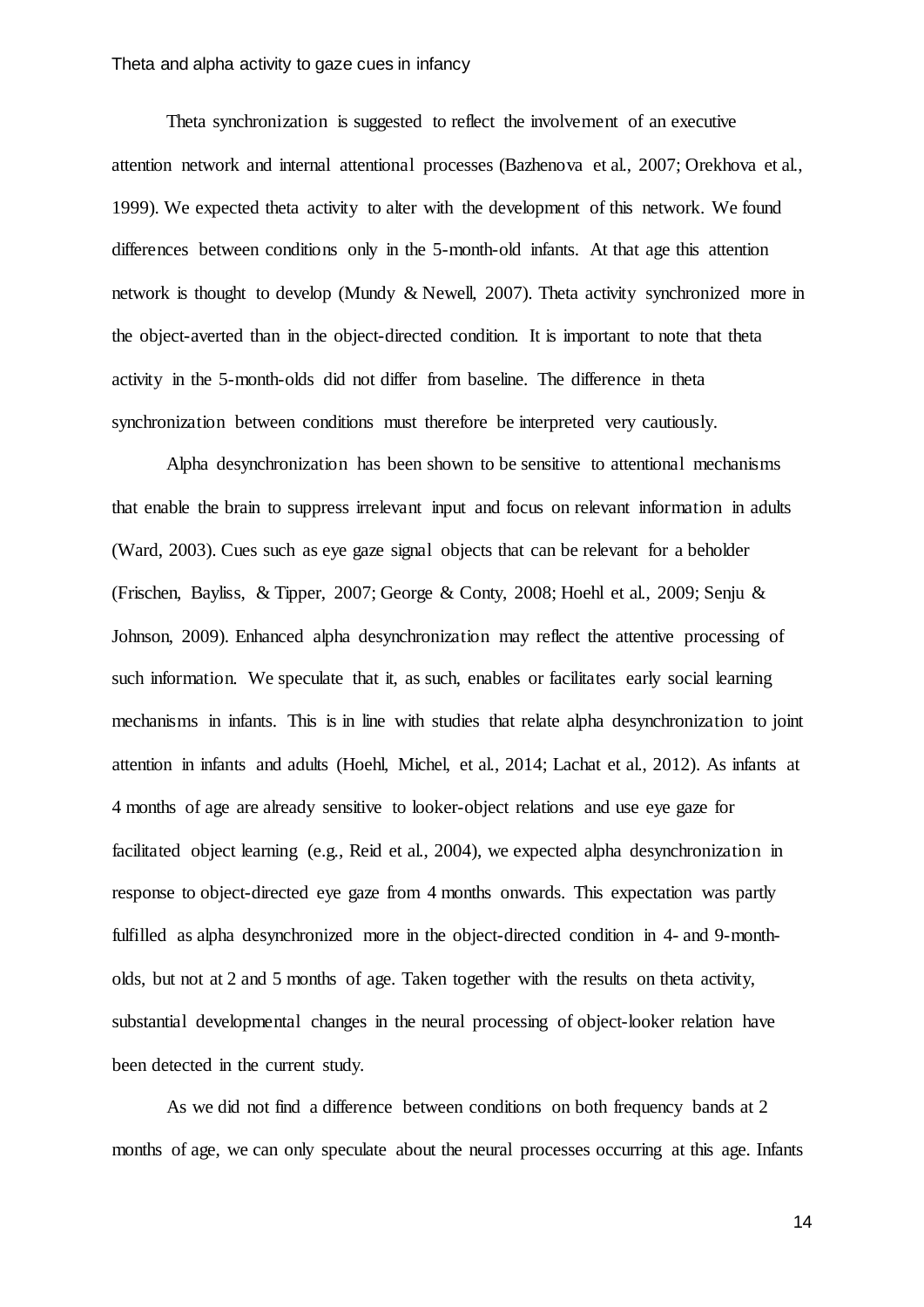Theta synchronization is suggested to reflect the involvement of an executive attention network and internal attentional processes [\(Bazhenova et al., 2007;](#page-19-8) [Orekhova et al.,](#page-20-11)  [1999\)](#page-20-11). We expected theta activity to alter with the development of this network. We found differences between conditions only in the 5-month-old infants. At that age this attention network is thought to develop [\(Mundy & Newell, 2007\)](#page-20-7). Theta activity synchronized more in the object-averted than in the object-directed condition. It is important to note that theta activity in the 5-month-olds did not differ from baseline. The difference in theta synchronization between conditions must therefore be interpreted very cautiously.

Alpha desynchronization has been shown to be sensitive to attentional mechanisms that enable the brain to suppress irrelevant input and focus on relevant information in adults [\(Ward,](#page-21-5) 2003). Cues such as eye gaze signal objects that can be relevant for a beholder [\(Frischen, Bayliss, & Tipper, 2007;](#page-19-12) [George & Conty, 2008;](#page-19-13) [Hoehl et al., 2009;](#page-19-2) [Senju &](#page-20-17)  [Johnson, 2009\)](#page-20-17). Enhanced alpha desynchronization may reflect the attentive processing of such information. We speculate that it, as such, enables or facilitates early social learning mechanisms in infants. This is in line with studies that relate alpha desynchronization to joint attention in infants and adults [\(Hoehl, Michel, et al., 2014;](#page-19-9) [Lachat et al., 2012\)](#page-20-13). As infants at 4 months of age are already sensitive to looker-object relations and use eye gaze for facilitated object learning [\(e.g., Reid et al., 2004\)](#page-20-5), we expected alpha desynchronization in response to object-directed eye gaze from 4 months onwards. This expectation was partly fulfilled as alpha desynchronized more in the object-directed condition in 4- and 9-montholds, but not at 2 and 5 months of age. Taken together with the results on theta activity, substantial developmental changes in the neural processing of object-looker relation have been detected in the current study.

As we did not find a difference between conditions on both frequency bands at 2 months of age, we can only speculate about the neural processes occurring at this age. Infants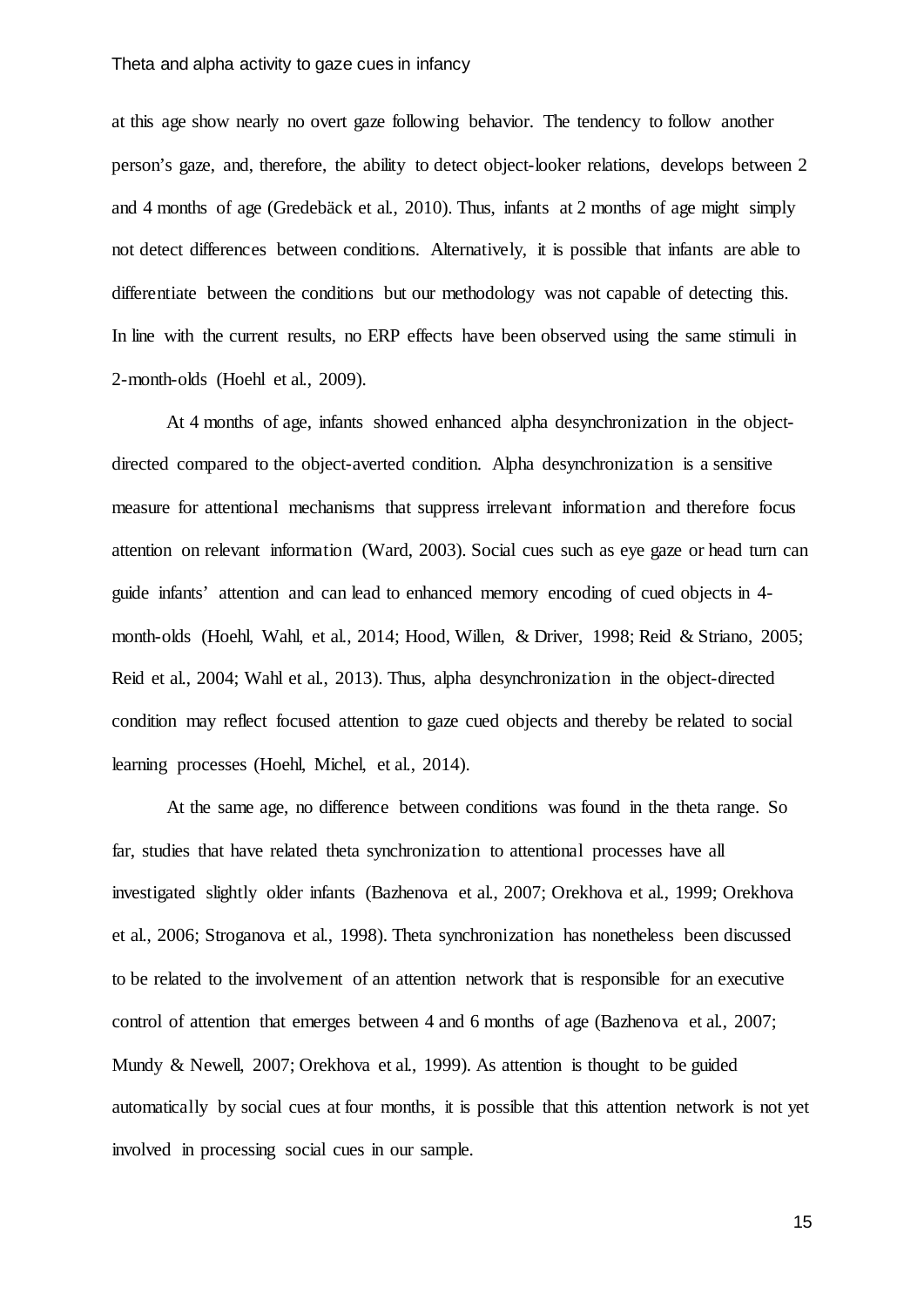#### Theta and alpha activity to gaze cues in infancy

at this age show nearly no overt gaze following behavior. The tendency to follow another person's gaze, and, therefore, the ability to detect object-looker relations, develops between 2 and 4 months of age [\(Gredebäck et al., 2010\)](#page-19-4). Thus, infants at 2 months of age might simply not detect differences between conditions. Alternatively, it is possible that infants are able to differentiate between the conditions but our methodology was not capable of detecting this. In line with the current results, no ERP effects have been observed using the same stimuli in 2-month-olds [\(Hoehl et al., 2009\)](#page-19-2).

At 4 months of age, infants showed enhanced alpha desynchronization in the objectdirected compared to the object-averted condition. Alpha desynchronization is a sensitive measure for attentional mechanisms that suppress irrelevant information and therefore focus attention on relevant information [\(Ward, 2003\)](#page-21-5). Social cues such as eye gaze or head turn can guide infants' attention and can lead to enhanced memory encoding of cued objects in 4 month-olds [\(Hoehl, Wahl, et al., 2014;](#page-19-7) [Hood, Willen, & Driver, 1998;](#page-19-14) [Reid & Striano, 2005;](#page-20-4) [Reid et al., 2004;](#page-20-5) [Wahl et al., 2013\)](#page-21-3). Thus, alpha desynchronization in the object-directed condition may reflect focused attention to gaze cued objects and thereby be related to social learning processes [\(Hoehl, Michel, et al., 2014\)](#page-19-9).

At the same age, no difference between conditions was found in the theta range. So far, studies that have related theta synchronization to attentional processes have all investigated slightly older infants [\(Bazhenova et al., 2007;](#page-19-8) [Orekhova et al., 1999;](#page-20-11) [Orekhova](#page-20-16)  [et al., 2006;](#page-20-16) [Stroganova et al., 1998\)](#page-21-8). Theta synchronization has nonetheless been discussed to be related to the involvement of an attention network that is responsible for an executive control of attention that emerges between 4 and 6 months of age [\(Bazhenova et al., 2007;](#page-19-8) [Mundy & Newell, 2007;](#page-20-7) [Orekhova et al., 1999\)](#page-20-11). As attention is thought to be guided automatically by social cues at four months, it is possible that this attention network is not yet involved in processing social cues in our sample.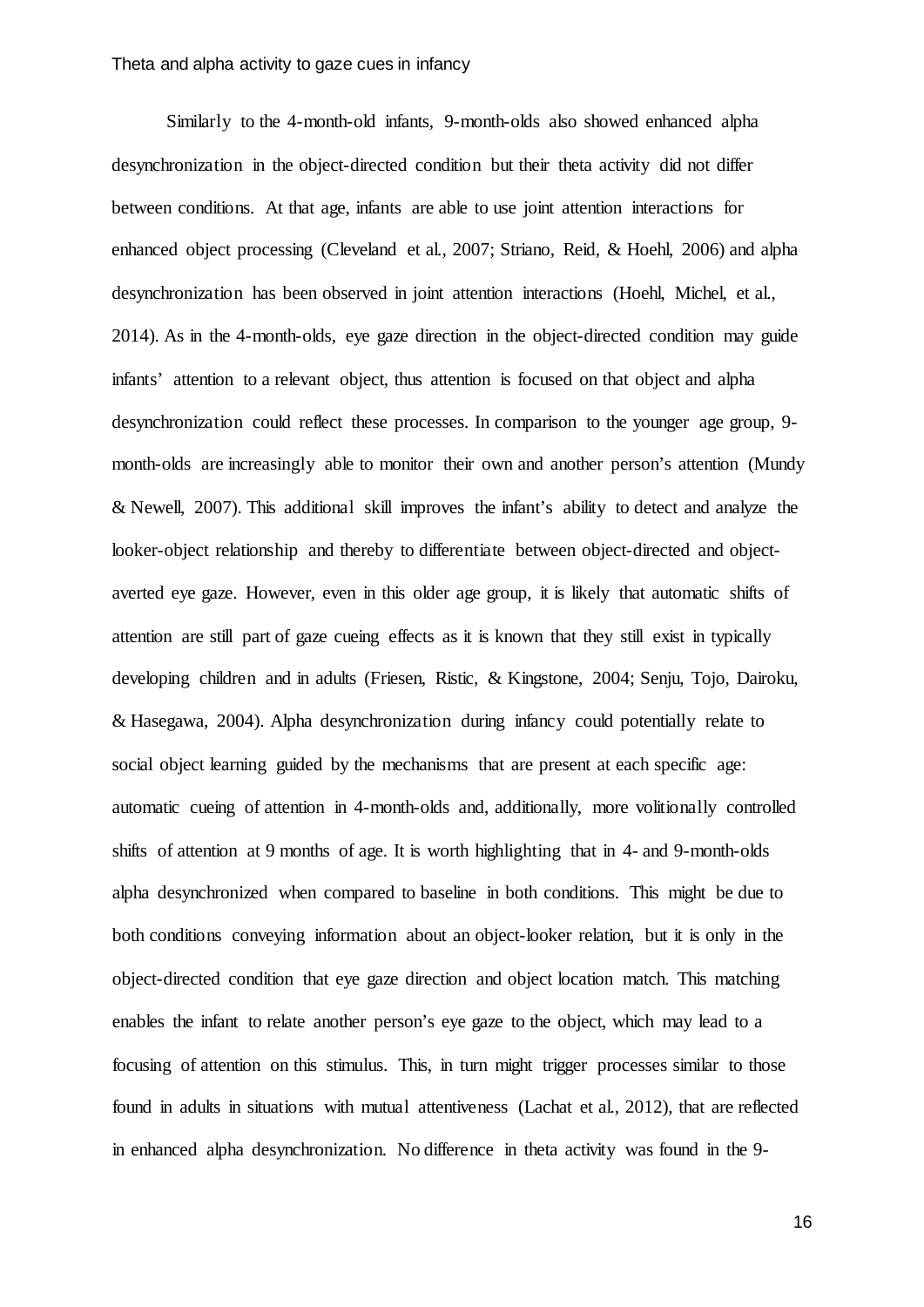Similarly to the 4-month-old infants, 9-month-olds also showed enhanced alpha desynchronization in the object-directed condition but their theta activity did not differ between conditions. At that age, infants are able to use joint attention interactions for enhanced object processing [\(Cleveland et al., 2007;](#page-19-5) [Striano, Reid, & Hoehl, 2006\)](#page-21-9) and alpha desynchronization has been observed in joint attention interactions [\(Hoehl, Michel, et al.,](#page-19-9)  [2014\)](#page-19-9). As in the 4-month-olds, eye gaze direction in the object-directed condition may guide infants' attention to a relevant object, thus attention is focused on that object and alpha desynchronization could reflect these processes. In comparison to the younger age group, 9 month-olds are increasingly able to monitor their own and another person's attention [\(Mundy](#page-20-7)  [& Newell, 2007\)](#page-20-7). This additional skill improves the infant's ability to detect and analyze the looker-object relationship and thereby to differentiate between object-directed and objectaverted eye gaze. However, even in this older age group, it is likely that automatic shifts of attention are still part of gaze cueing effects as it is known that they still exist in typically developing children and in adults [\(Friesen, Ristic, & Kingstone, 2004;](#page-19-15) [Senju, Tojo, Dairoku,](#page-21-10)  [& Hasegawa, 2004\)](#page-21-10). Alpha desynchronization during infancy could potentially relate to social object learning guided by the mechanisms that are present at each specific age: automatic cueing of attention in 4-month-olds and, additionally, more volitionally controlled shifts of attention at 9 months of age. It is worth highlighting that in 4- and 9-month-olds alpha desynchronized when compared to baseline in both conditions. This might be due to both conditions conveying information about an object-looker relation, but it is only in the object-directed condition that eye gaze direction and object location match. This matching enables the infant to relate another person's eye gaze to the object, which may lead to a focusing of attention on this stimulus. This, in turn might trigger processes similar to those found in adults in situations with mutual attentiveness [\(Lachat et al., 2012\)](#page-20-13), that are reflected in enhanced alpha desynchronization. No difference in theta activity was found in the 9-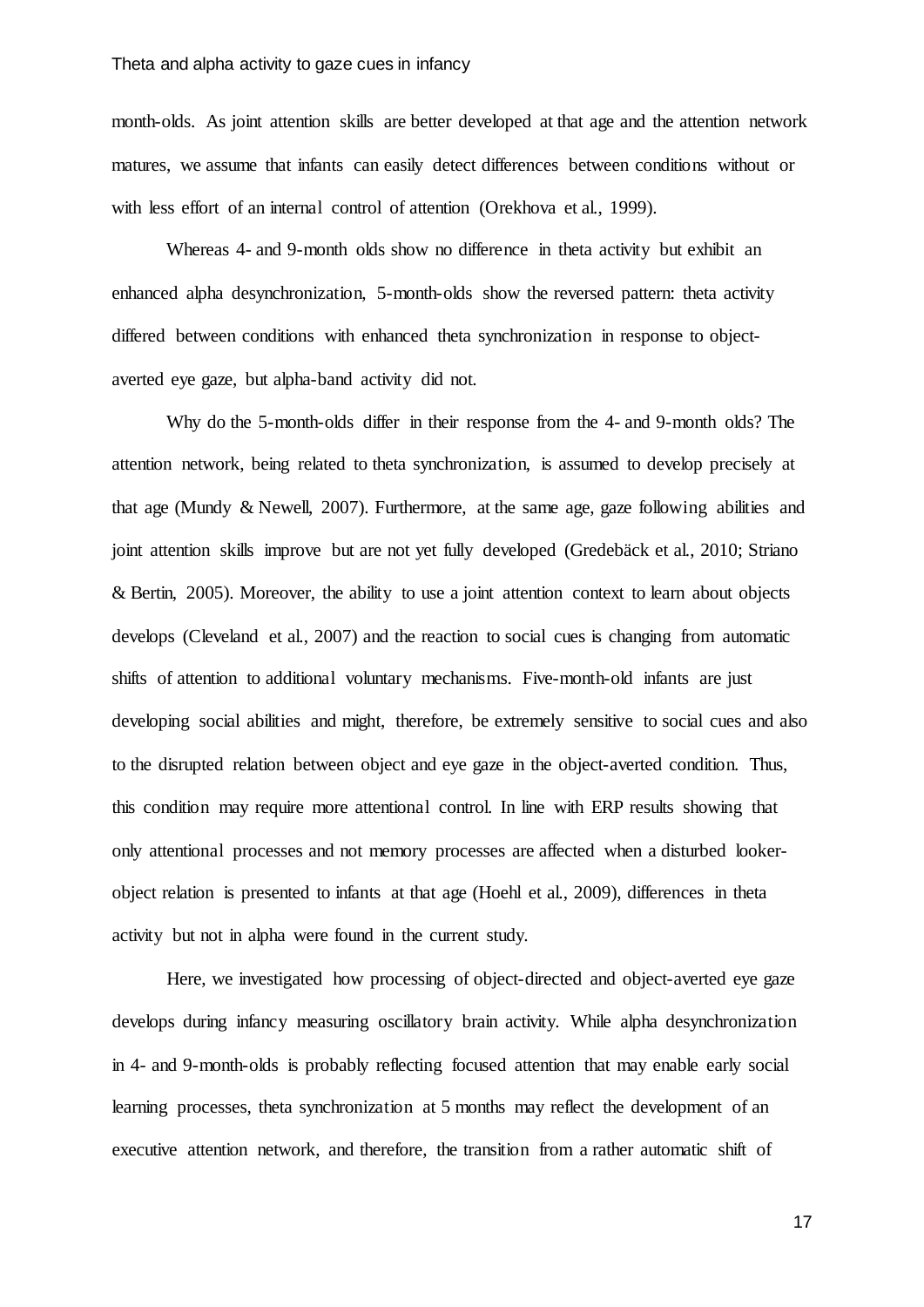month-olds. As joint attention skills are better developed at that age and the attention network matures, we assume that infants can easily detect differences between conditions without or with less effort of an internal control of attention [\(Orekhova et al., 1999\)](#page-20-11).

Whereas 4- and 9-month olds show no difference in theta activity but exhibit an enhanced alpha desynchronization, 5-month-olds show the reversed pattern: theta activity differed between conditions with enhanced theta synchronization in response to objectaverted eye gaze, but alpha-band activity did not.

Why do the 5-month-olds differ in their response from the 4- and 9-month olds? The attention network, being related to theta synchronization, is assumed to develop precisely at that age [\(Mundy & Newell, 2007\)](#page-20-7). Furthermore, at the same age, gaze following abilities and joint attention skills improve but are not yet fully developed [\(Gredebäck et al., 2010;](#page-19-4) [Striano](#page-21-2)  [& Bertin, 2005\)](#page-21-2). Moreover, the ability to use a joint attention context to learn about objects develops [\(Cleveland et al., 2007\)](#page-19-5) and the reaction to social cues is changing from automatic shifts of attention to additional voluntary mechanisms. Five-month-old infants are just developing social abilities and might, therefore, be extremely sensitive to social cues and also to the disrupted relation between object and eye gaze in the object-averted condition. Thus, this condition may require more attentional control. In line with ERP results showing that only attentional processes and not memory processes are affected when a disturbed lookerobject relation is presented to infants at that age [\(Hoehl et al., 2009\)](#page-19-2), differences in theta activity but not in alpha were found in the current study.

Here, we investigated how processing of object-directed and object-averted eye gaze develops during infancy measuring oscillatory brain activity. While alpha desynchronization in 4- and 9-month-olds is probably reflecting focused attention that may enable early social learning processes, theta synchronization at 5 months may reflect the development of an executive attention network, and therefore, the transition from a rather automatic shift of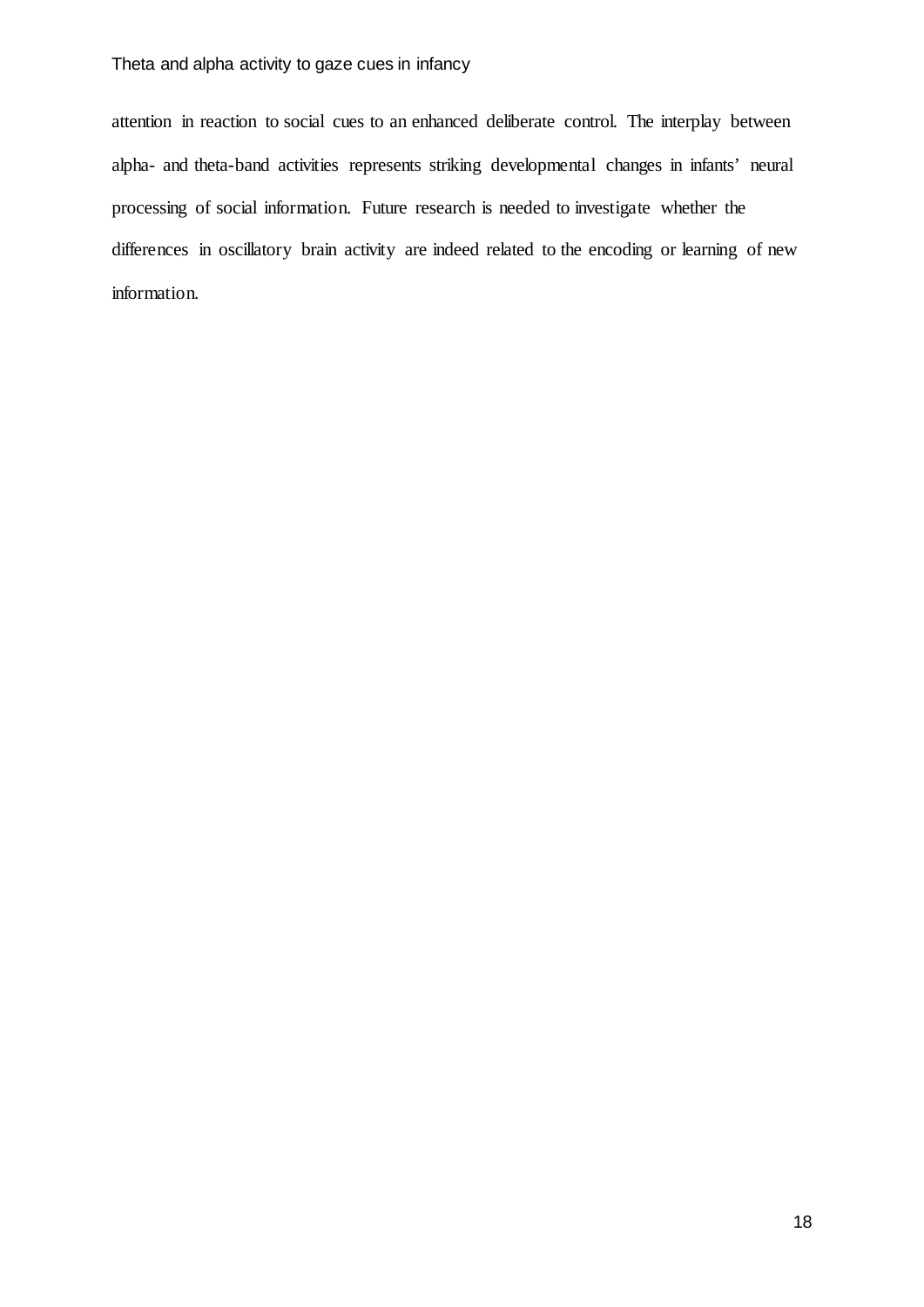attention in reaction to social cues to an enhanced deliberate control. The interplay between alpha- and theta-band activities represents striking developmental changes in infants' neural processing of social information. Future research is needed to investigate whether the differences in oscillatory brain activity are indeed related to the encoding or learning of new information.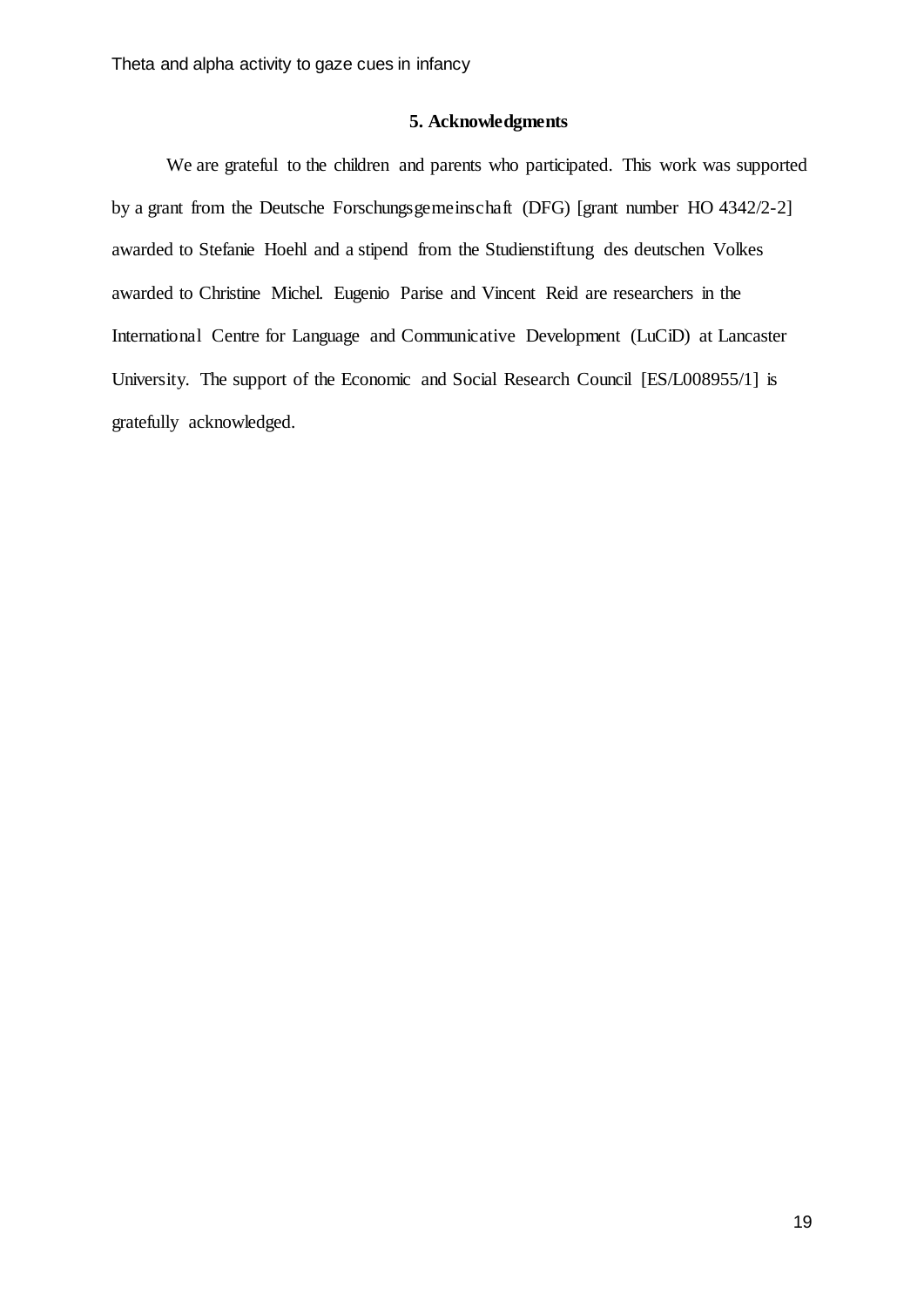# **5. Acknowledgments**

We are grateful to the children and parents who participated. This work was supported by a grant from the Deutsche Forschungsgemeinschaft (DFG) [grant number HO 4342/2-2] awarded to Stefanie Hoehl and a stipend from the Studienstiftung des deutschen Volkes awarded to Christine Michel. Eugenio Parise and Vincent Reid are researchers in the International Centre for Language and Communicative Development (LuCiD) at Lancaster University. The support of the Economic and Social Research Council [ES/L008955/1] is gratefully acknowledged.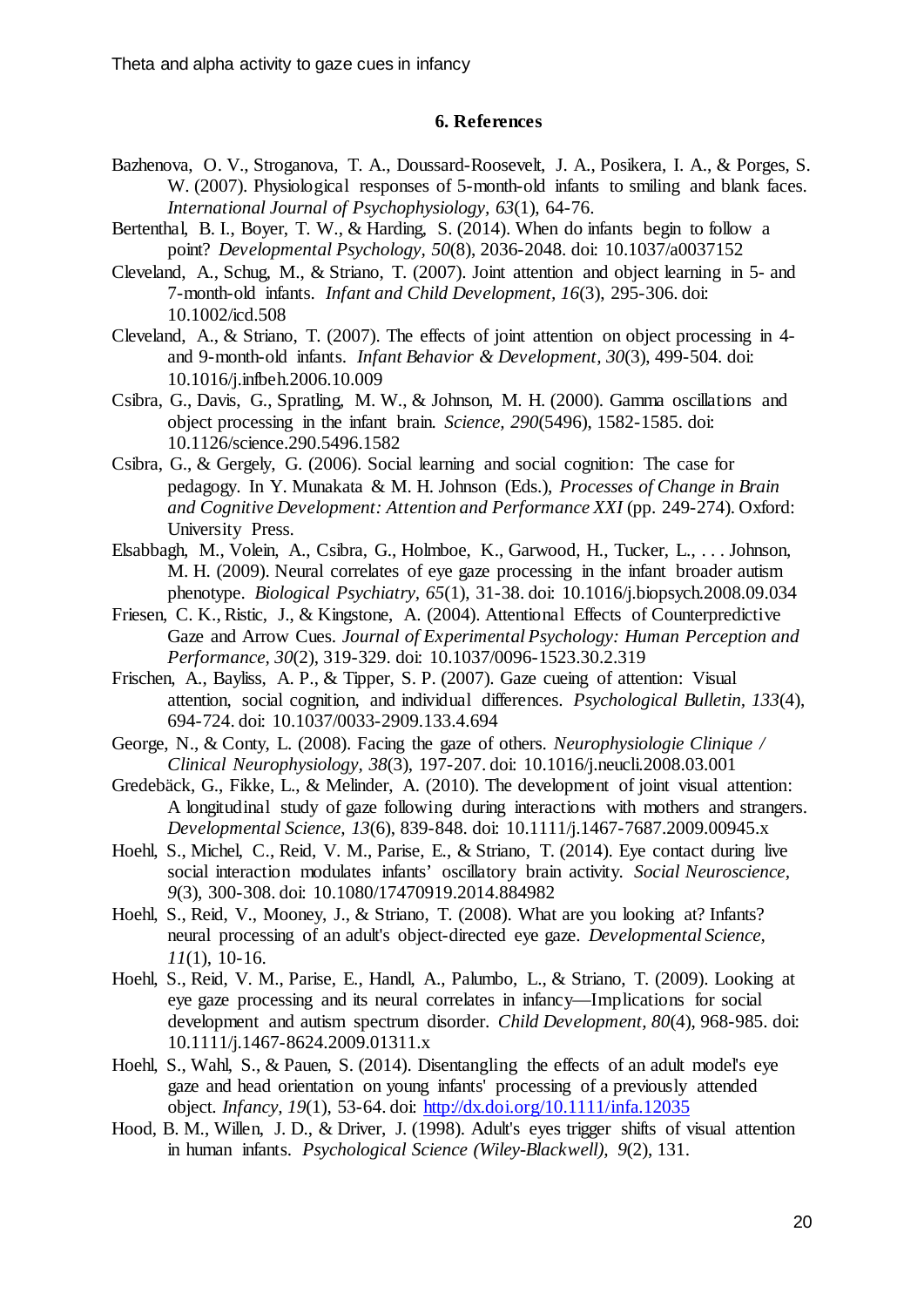# **6. References**

- <span id="page-19-8"></span>Bazhenova, O. V., Stroganova, T. A., Doussard-Roosevelt, J. A., Posikera, I. A., & Porges, S. W. (2007). Physiological responses of 5-month-old infants to smiling and blank faces. *International Journal of Psychophysiology, 63*(1), 64-76.
- <span id="page-19-0"></span>Bertenthal, B. I., Boyer, T. W., & Harding, S. (2014). When do infants begin to follow a point? *Developmental Psychology, 50*(8), 2036-2048. doi: 10.1037/a0037152
- <span id="page-19-5"></span>Cleveland, A., Schug, M., & Striano, T. (2007). Joint attention and object learning in 5- and 7-month-old infants. *Infant and Child Development, 16*(3), 295-306. doi: 10.1002/icd.508
- <span id="page-19-6"></span>Cleveland, A., & Striano, T. (2007). The effects of joint attention on object processing in 4 and 9-month-old infants. *Infant Behavior & Development, 30*(3), 499-504. doi: 10.1016/j.infbeh.2006.10.009
- <span id="page-19-11"></span>Csibra, G., Davis, G., Spratling, M. W., & Johnson, M. H. (2000). Gamma oscillations and object processing in the infant brain. *Science, 290*(5496), 1582-1585. doi: 10.1126/science.290.5496.1582
- <span id="page-19-1"></span>Csibra, G., & Gergely, G. (2006). Social learning and social cognition: The case for pedagogy. In Y. Munakata & M. H. Johnson (Eds.), *Processes of Change in Brain and Cognitive Development: Attention and Performance XXI* (pp. 249-274). Oxford: University Press.
- <span id="page-19-10"></span>Elsabbagh, M., Volein, A., Csibra, G., Holmboe, K., Garwood, H., Tucker, L., . . . Johnson, M. H. (2009). Neural correlates of eye gaze processing in the infant broader autism phenotype. *Biological Psychiatry, 65*(1), 31-38. doi: 10.1016/j.biopsych.2008.09.034
- <span id="page-19-15"></span>Friesen, C. K., Ristic, J., & Kingstone, A. (2004). Attentional Effects of Counterpredictive Gaze and Arrow Cues. *Journal of Experimental Psychology: Human Perception and Performance, 30*(2), 319-329. doi: 10.1037/0096-1523.30.2.319
- <span id="page-19-12"></span>Frischen, A., Bayliss, A. P., & Tipper, S. P. (2007). Gaze cueing of attention: Visual attention, social cognition, and individual differences. *Psychological Bulletin, 133*(4), 694-724. doi: 10.1037/0033-2909.133.4.694
- <span id="page-19-13"></span>George, N., & Conty, L. (2008). Facing the gaze of others. *Neurophysiologie Clinique / Clinical Neurophysiology, 38*(3), 197-207. doi: 10.1016/j.neucli.2008.03.001
- <span id="page-19-4"></span>Gredebäck, G., Fikke, L., & Melinder, A. (2010). The development of joint visual attention: A longitudinal study of gaze following during interactions with mothers and strangers. *Developmental Science, 13*(6), 839-848. doi: 10.1111/j.1467-7687.2009.00945.x
- <span id="page-19-9"></span>Hoehl, S., Michel, C., Reid, V. M., Parise, E., & Striano, T. (2014). Eye contact during live social interaction modulates infants' oscillatory brain activity. *Social Neuroscience, 9*(3), 300-308. doi: 10.1080/17470919.2014.884982
- <span id="page-19-3"></span>Hoehl, S., Reid, V., Mooney, J., & Striano, T. (2008). What are you looking at? Infants? neural processing of an adult's object-directed eye gaze. *Developmental Science, 11*(1), 10-16.
- <span id="page-19-2"></span>Hoehl, S., Reid, V. M., Parise, E., Handl, A., Palumbo, L., & Striano, T. (2009). Looking at eye gaze processing and its neural correlates in infancy—Implications for social development and autism spectrum disorder. *Child Development, 80*(4), 968-985. doi: 10.1111/j.1467-8624.2009.01311.x
- <span id="page-19-7"></span>Hoehl, S., Wahl, S., & Pauen, S. (2014). Disentangling the effects of an adult model's eye gaze and head orientation on young infants' processing of a previously attended object. *Infancy, 19*(1), 53-64. doi: <http://dx.doi.org/10.1111/infa.12035>
- <span id="page-19-14"></span>Hood, B. M., Willen, J. D., & Driver, J. (1998). Adult's eyes trigger shifts of visual attention in human infants. *Psychological Science (Wiley-Blackwell), 9*(2), 131.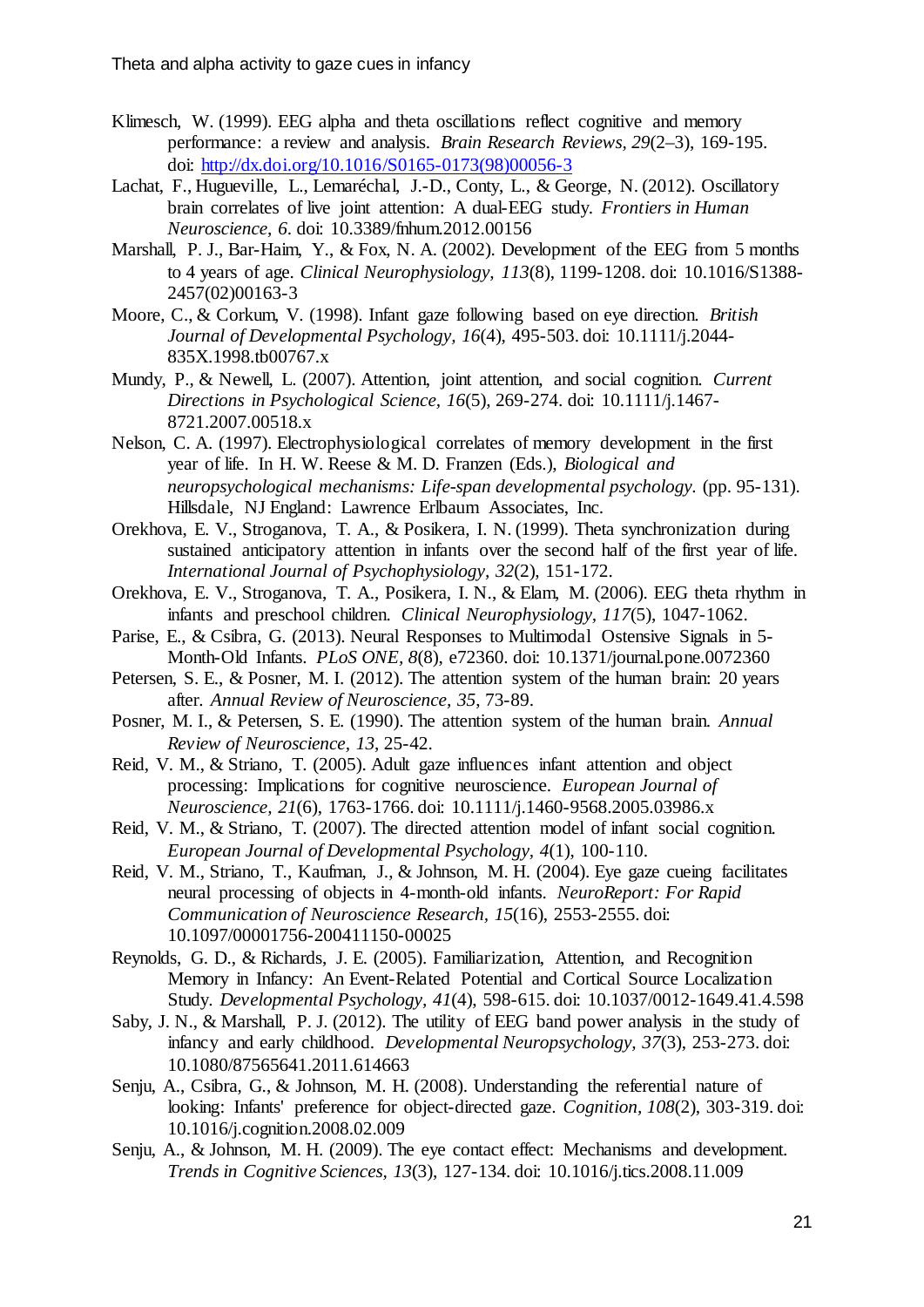- <span id="page-20-9"></span>Klimesch, W. (1999). EEG alpha and theta oscillations reflect cognitive and memory performance: a review and analysis. *Brain Research Reviews, 29*(2–3), 169-195. doi: [http://dx.doi.org/10.1016/S0165-0173\(98\)00056-3](http://dx.doi.org/10.1016/S0165-0173(98)00056-3)
- <span id="page-20-13"></span>Lachat, F., Hugueville, L., Lemaréchal, J.-D., Conty, L., & George, N. (2012). Oscillatory brain correlates of live joint attention: A dual-EEG study. *Frontiers in Human Neuroscience, 6*. doi: 10.3389/fnhum.2012.00156
- <span id="page-20-14"></span>Marshall, P. J., Bar-Haim, Y., & Fox, N. A. (2002). Development of the EEG from 5 months to 4 years of age. *Clinical Neurophysiology, 113*(8), 1199-1208. doi: 10.1016/S1388- 2457(02)00163-3
- <span id="page-20-6"></span>Moore, C., & Corkum, V. (1998). Infant gaze following based on eye direction. *British Journal of Developmental Psychology, 16*(4), 495-503. doi: 10.1111/j.2044- 835X.1998.tb00767.x
- <span id="page-20-7"></span>Mundy, P., & Newell, L. (2007). Attention, joint attention, and social cognition. *Current Directions in Psychological Science, 16*(5), 269-274. doi: 10.1111/j.1467- 8721.2007.00518.x
- <span id="page-20-3"></span>Nelson, C. A. (1997). Electrophysiological correlates of memory development in the first year of life. In H. W. Reese & M. D. Franzen (Eds.), *Biological and neuropsychological mechanisms: Life-span developmental psychology.* (pp. 95-131). Hillsdale, NJ England: Lawrence Erlbaum Associates, Inc.
- <span id="page-20-11"></span>Orekhova, E. V., Stroganova, T. A., & Posikera, I. N. (1999). Theta synchronization during sustained anticipatory attention in infants over the second half of the first year of life. *International Journal of Psychophysiology, 32*(2), 151-172.
- <span id="page-20-16"></span>Orekhova, E. V., Stroganova, T. A., Posikera, I. N., & Elam, M. (2006). EEG theta rhythm in infants and preschool children. *Clinical Neurophysiology, 117*(5), 1047-1062.
- <span id="page-20-15"></span>Parise, E., & Csibra, G. (2013). Neural Responses to Multimodal Ostensive Signals in 5- Month-Old Infants. *PLoS ONE, 8*(8), e72360. doi: 10.1371/journal.pone.0072360
- <span id="page-20-8"></span>Petersen, S. E., & Posner, M. I. (2012). The attention system of the human brain: 20 years after. *Annual Review of Neuroscience, 35*, 73-89.
- <span id="page-20-12"></span>Posner, M. I., & Petersen, S. E. (1990). The attention system of the human brain. *Annual Review of Neuroscience, 13*, 25-42.
- <span id="page-20-4"></span>Reid, V. M., & Striano, T. (2005). Adult gaze influences infant attention and object processing: Implications for cognitive neuroscience. *European Journal of Neuroscience, 21*(6), 1763-1766. doi: 10.1111/j.1460-9568.2005.03986.x
- <span id="page-20-0"></span>Reid, V. M., & Striano, T. (2007). The directed attention model of infant social cognition. *European Journal of Developmental Psychology, 4*(1), 100-110.
- <span id="page-20-5"></span>Reid, V. M., Striano, T., Kaufman, J., & Johnson, M. H. (2004). Eye gaze cueing facilitates neural processing of objects in 4-month-old infants. *NeuroReport: For Rapid Communication of Neuroscience Research, 15*(16), 2553-2555. doi: 10.1097/00001756-200411150-00025
- <span id="page-20-2"></span>Reynolds, G. D., & Richards, J. E. (2005). Familiarization, Attention, and Recognition Memory in Infancy: An Event-Related Potential and Cortical Source Localization Study. *Developmental Psychology, 41*(4), 598-615. doi: 10.1037/0012-1649.41.4.598
- <span id="page-20-10"></span>Saby, J. N., & Marshall, P. J. (2012). The utility of EEG band power analysis in the study of infancy and early childhood. *Developmental Neuropsychology, 37*(3), 253-273. doi: 10.1080/87565641.2011.614663
- <span id="page-20-1"></span>Senju, A., Csibra, G., & Johnson, M. H. (2008). Understanding the referential nature of looking: Infants' preference for object-directed gaze. *Cognition, 108*(2), 303-319. doi: 10.1016/j.cognition.2008.02.009
- <span id="page-20-17"></span>Senju, A., & Johnson, M. H. (2009). The eye contact effect: Mechanisms and development. *Trends in Cognitive Sciences, 13*(3), 127-134. doi: 10.1016/j.tics.2008.11.009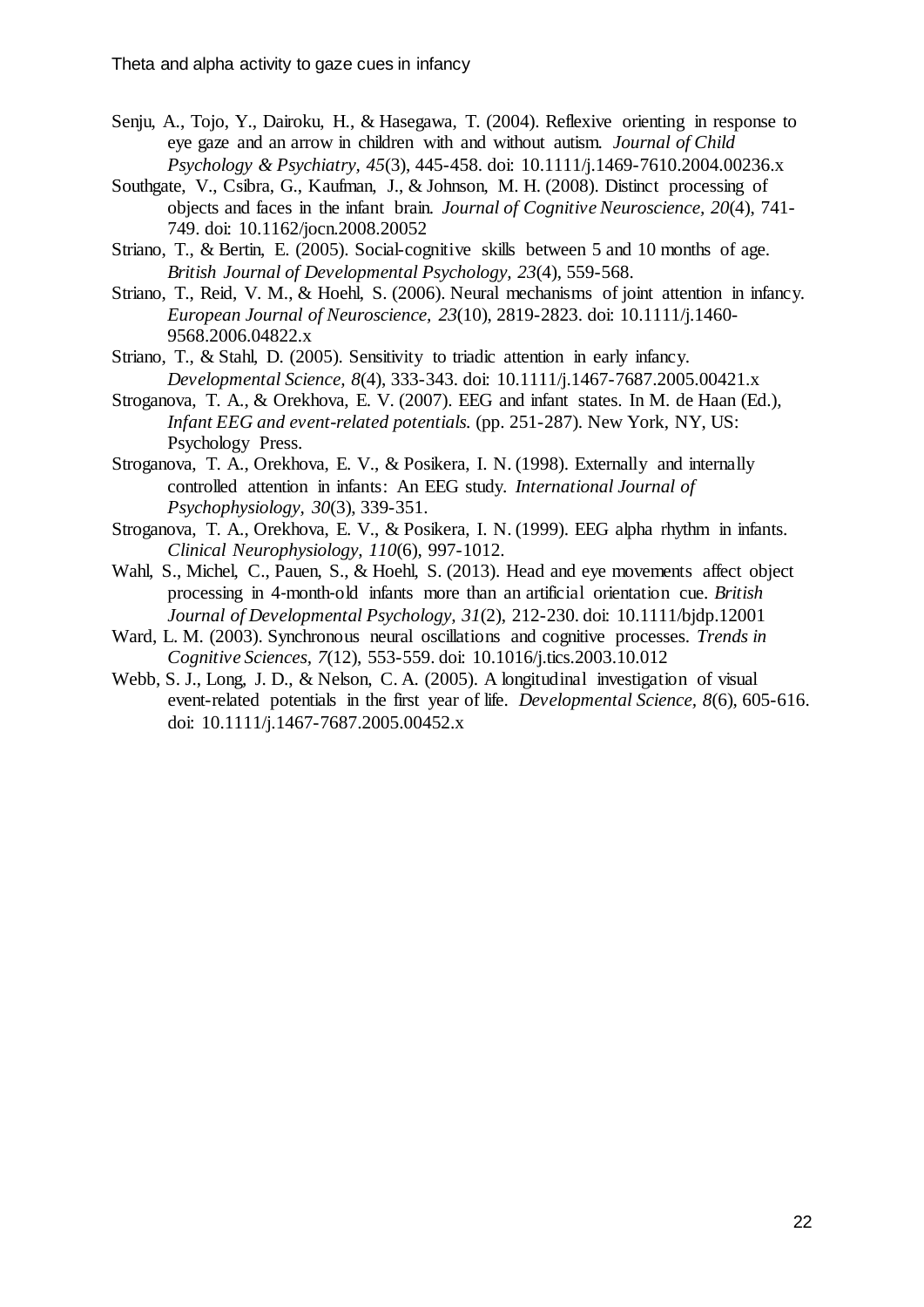- <span id="page-21-10"></span>Senju, A., Tojo, Y., Dairoku, H., & Hasegawa, T. (2004). Reflexive orienting in response to eye gaze and an arrow in children with and without autism. *Journal of Child Psychology & Psychiatry, 45*(3), 445-458. doi: 10.1111/j.1469-7610.2004.00236.x
- <span id="page-21-7"></span>Southgate, V., Csibra, G., Kaufman, J., & Johnson, M. H. (2008). Distinct processing of objects and faces in the infant brain. *Journal of Cognitive Neuroscience, 20*(4), 741- 749. doi: 10.1162/jocn.2008.20052
- <span id="page-21-2"></span>Striano, T., & Bertin, E. (2005). Social-cognitive skills between 5 and 10 months of age. *British Journal of Developmental Psychology, 23*(4), 559-568.
- <span id="page-21-9"></span>Striano, T., Reid, V. M., & Hoehl, S. (2006). Neural mechanisms of joint attention in infancy. *European Journal of Neuroscience, 23*(10), 2819-2823. doi: 10.1111/j.1460- 9568.2006.04822.x
- <span id="page-21-1"></span>Striano, T., & Stahl, D. (2005). Sensitivity to triadic attention in early infancy. *Developmental Science, 8*(4), 333-343. doi: 10.1111/j.1467-7687.2005.00421.x
- <span id="page-21-4"></span>Stroganova, T. A., & Orekhova, E. V. (2007). EEG and infant states. In M. de Haan (Ed.), *Infant EEG and event-related potentials.* (pp. 251-287). New York, NY, US: Psychology Press.
- <span id="page-21-8"></span>Stroganova, T. A., Orekhova, E. V., & Posikera, I. N. (1998). Externally and internally controlled attention in infants: An EEG study. *International Journal of Psychophysiology, 30*(3), 339-351.
- <span id="page-21-6"></span>Stroganova, T. A., Orekhova, E. V., & Posikera, I. N. (1999). EEG alpha rhythm in infants. *Clinical Neurophysiology, 110*(6), 997-1012.
- <span id="page-21-3"></span>Wahl, S., Michel, C., Pauen, S., & Hoehl, S. (2013). Head and eye movements affect object processing in 4‐month‐old infants more than an artificial orientation cue. *British Journal of Developmental Psychology, 31*(2), 212-230. doi: 10.1111/bjdp.12001
- <span id="page-21-5"></span>Ward, L. M. (2003). Synchronous neural oscillations and cognitive processes. *Trends in Cognitive Sciences, 7*(12), 553-559. doi: 10.1016/j.tics.2003.10.012
- <span id="page-21-0"></span>Webb, S. J., Long, J. D., & Nelson, C. A. (2005). A longitudinal investigation of visual event-related potentials in the first year of life. *Developmental Science, 8*(6), 605-616. doi: 10.1111/j.1467-7687.2005.00452.x